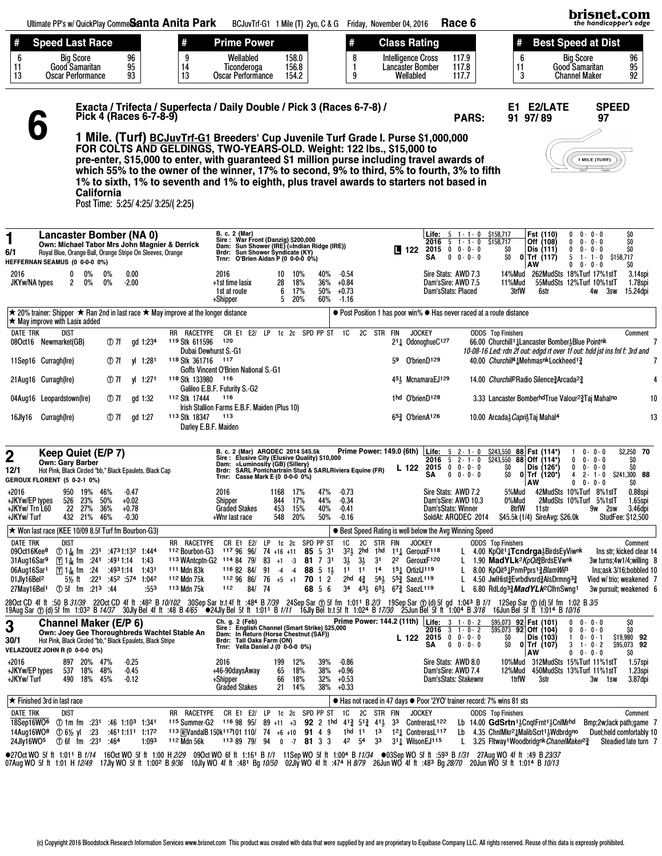|                                                                                                                                | Ultimate PP's w/ QuickPlay Comme <b>Santa Anita Park</b>                                                                                                                      |                                                                                                                                |                                 |                                                                                                                                                                                                                                       |                                    |                                                                                                  |                                                                                                                                                                                                                                                                                                                                                      |                       | BCJuvTrf-G1 1 Mile (T) 2yo, C & G Friday, November 04, 2016 |                                       |                                               |                                                                                                                                                                                                                                                                     |    |                                                                                   | Race 6                                                            |                                                                                           |                                                                        |                                                                                                                                                                                                                                                                                                                   |                                                                                                          | brisnet.com<br>the handicapper's edge                                                                     |                                                 |
|--------------------------------------------------------------------------------------------------------------------------------|-------------------------------------------------------------------------------------------------------------------------------------------------------------------------------|--------------------------------------------------------------------------------------------------------------------------------|---------------------------------|---------------------------------------------------------------------------------------------------------------------------------------------------------------------------------------------------------------------------------------|------------------------------------|--------------------------------------------------------------------------------------------------|------------------------------------------------------------------------------------------------------------------------------------------------------------------------------------------------------------------------------------------------------------------------------------------------------------------------------------------------------|-----------------------|-------------------------------------------------------------|---------------------------------------|-----------------------------------------------|---------------------------------------------------------------------------------------------------------------------------------------------------------------------------------------------------------------------------------------------------------------------|----|-----------------------------------------------------------------------------------|-------------------------------------------------------------------|-------------------------------------------------------------------------------------------|------------------------------------------------------------------------|-------------------------------------------------------------------------------------------------------------------------------------------------------------------------------------------------------------------------------------------------------------------------------------------------------------------|----------------------------------------------------------------------------------------------------------|-----------------------------------------------------------------------------------------------------------|-------------------------------------------------|
| #<br>6<br>11<br>13                                                                                                             | <b>Speed Last Race</b><br>Good Samaritan<br>Oscar Performance                                                                                                                 | <b>Big Score</b>                                                                                                               |                                 | 96<br>95<br>93                                                                                                                                                                                                                        |                                    | #<br>14<br>13                                                                                    | <b>Prime Power</b><br>Wellabled<br>Ticonderoga<br>Oscar Performance                                                                                                                                                                                                                                                                                  |                       | 158.0<br>156.8<br>154.2                                     |                                       | 8<br>1<br>9                                   |                                                                                                                                                                                                                                                                     |    | <b>Class Rating</b><br><b>Intelligence Cross</b><br>Lancaster Bomber<br>Wellabled |                                                                   | 117.9<br>117.8<br>117.7                                                                   | #<br>6<br>11<br>3                                                      |                                                                                                                                                                                                                                                                                                                   | <b>Best Speed at Dist</b><br><b>Big Score</b><br>Good Samaritan<br><b>Channel Maker</b>                  |                                                                                                           | 96<br>95<br>92                                  |
|                                                                                                                                |                                                                                                                                                                               |                                                                                                                                |                                 | Pick 4 (Races 6-7-8-9)                                                                                                                                                                                                                |                                    |                                                                                                  | Exacta / Trifecta / Superfecta / Daily Double / Pick 3 (Races 6-7-8) /<br>1 Mile. (Turf) BCJuvTrf-G1 Breeders' Cup Juvenile Turf Grade I. Purse \$1,000,000<br>FOR COLTS AND GELDINGS, TWO-YEARS-OLD. Weight: 122 lbs., \$15,000 to<br>pre-enter, \$15,000 to enter, with guaranteed \$1 million purse including travel awards of                    |                       |                                                             |                                       |                                               |                                                                                                                                                                                                                                                                     |    |                                                                                   |                                                                   | <b>PARS:</b>                                                                              |                                                                        | E1 E2/LATE<br>91 97/89                                                                                                                                                                                                                                                                                            | 1 MILE (TURF)                                                                                            | <b>SPEED</b><br>97                                                                                        |                                                 |
|                                                                                                                                |                                                                                                                                                                               |                                                                                                                                | California                      |                                                                                                                                                                                                                                       | Post Time: 5:25/ 4:25/ 3:25/ 2:25) |                                                                                                  | which 55% to the owner of the winner, 17% to second, 9% to third, 5% to fourth, 3% to fifth<br>1% to sixth, 1% to seventh and 1% to eighth, plus travel awards to starters not based in                                                                                                                                                              |                       |                                                             |                                       |                                               |                                                                                                                                                                                                                                                                     |    |                                                                                   |                                                                   |                                                                                           |                                                                        |                                                                                                                                                                                                                                                                                                                   |                                                                                                          |                                                                                                           |                                                 |
| 1<br>6/1                                                                                                                       | <b>Lancaster Bomber (NA 0)</b><br>Own: Michael Tabor Mrs John Magnier & Derrick<br>Royal Blue, Orange Ball, Orange Stripe On Sleeves, Orange<br>HEFFERNAN SEAMUS (0 0-0-0 0%) |                                                                                                                                |                                 |                                                                                                                                                                                                                                       |                                    |                                                                                                  | B. c. 2 (Mar)<br>Sire : War Front (Danzig) \$200,000<br>Dam: Sun Shower (IRE) (=Indian Ridge (IRE))<br>Brdr: Sun Shower Syndicate (KY)<br>Trnr: O'Brien Aidan P (0 0-0-0 0%)                                                                                                                                                                         |                       |                                                             |                                       |                                               |                                                                                                                                                                                                                                                                     |    | $122$ 2015 0 0 0 0 0<br>SΑ                                                        |                                                                   | <b>Life:</b> $5 \t1 - 1 - 0 \t5158,717$<br>2016 5 1 - 1 - 0 \$158,717<br>$0 \t 0 - 0 - 0$ | SO.<br>ŞO.                                                             | Fst (110)<br>Off (108)<br>Dis (111)<br>$0$ Trf $(117)$<br>AW                                                                                                                                                                                                                                                      | 0<br>$0 - 0 - 0$<br>$0 - 0 - 0$<br>0<br>0<br>$0 - 0 - 0$<br>$5 \t1 - 1 - 0$<br>$0 - 0 - 0$<br>0          | \$158,717                                                                                                 | \$O<br>\$O<br>\$O<br>\$O                        |
| 2016<br>JKYw/NA types                                                                                                          | 2                                                                                                                                                                             | $0\%$<br>$0\%$                                                                                                                 | 0%<br>$0\%$                     | 0.00<br>$-2.00$                                                                                                                                                                                                                       |                                    |                                                                                                  | 2016<br>+1st time lasix<br>1st at route<br>+Shipper                                                                                                                                                                                                                                                                                                  | 10<br>28<br>6<br>5.   | 10%<br>18%<br>17%<br>20%                                    | 40%<br>36%<br>50%<br>60%              | $-0.54$<br>+0.84<br>$+0.73$<br>$-1.16$        |                                                                                                                                                                                                                                                                     |    |                                                                                   | Sire Stats: AWD 7.3<br>Dam'sSire: AWD 7.5<br>Dam'sStats: Placed   |                                                                                           | 14%Mud<br>11%Mud<br>3trfW                                              | 262MudSts 18%Turf 17%1stT<br>6str                                                                                                                                                                                                                                                                                 | 55MudSts 12%Turf 10%1stT<br>4w                                                                           | 3sw                                                                                                       | 3.14spi<br>1.78spi<br>15.24dpi                  |
|                                                                                                                                | ★ 20% trainer: Shipper ★ Ran 2nd in last race ★ May improve at the longer distance<br>$\star$ May improve with Lasix added                                                    |                                                                                                                                |                                 |                                                                                                                                                                                                                                       |                                    |                                                                                                  |                                                                                                                                                                                                                                                                                                                                                      |                       |                                                             |                                       |                                               |                                                                                                                                                                                                                                                                     |    |                                                                                   |                                                                   |                                                                                           | ● Post Position 1 has poor win% ● Has never raced at a route distance  |                                                                                                                                                                                                                                                                                                                   |                                                                                                          |                                                                                                           |                                                 |
| <b>DATE TRK</b>                                                                                                                | <b>DIST</b><br>08Oct16 Newmarket(GB)                                                                                                                                          |                                                                                                                                | ① 7f                            | gd 1:234                                                                                                                                                                                                                              |                                    | RR RACETYPE<br><sup>119</sup> Stk 611596<br>Dubai Dewhurst S.-G1                                 | CR E1 E2/ LP 1c 2c SPD PP ST 1C<br>120                                                                                                                                                                                                                                                                                                               |                       |                                                             |                                       |                                               | 2C STR FIN                                                                                                                                                                                                                                                          |    | <b>JOCKEY</b><br>211 OdonoghueC127                                                |                                                                   |                                                                                           | <b>ODDS</b> Top Finishers                                              | 66.00 Churchill <sup>1</sup> Lancaster Bomber 3Blue Pointnk<br>10-08-16 Led: rdn 2f out: edgd rt over 1f out: hdd jst ins fnl f: 3rd and                                                                                                                                                                          |                                                                                                          |                                                                                                           | Comment                                         |
|                                                                                                                                | 11Sep16 Curragh(Ire)                                                                                                                                                          |                                                                                                                                | $\times 7f$                     | vl 1:281                                                                                                                                                                                                                              |                                    | <sup>118</sup> Stk 361716                                                                        | 117<br>Goffs Vincent O'Brien National S.-G1                                                                                                                                                                                                                                                                                                          |                       |                                                             |                                       |                                               |                                                                                                                                                                                                                                                                     | 59 | O'brienD <sub>129</sub>                                                           |                                                                   |                                                                                           |                                                                        | 40.00 Churchill <sup>4</sup> Mehmasnk Lockheed <sup>13</sup>                                                                                                                                                                                                                                                      |                                                                                                          |                                                                                                           |                                                 |
|                                                                                                                                | 21Aug16 Curragh(Ire)                                                                                                                                                          |                                                                                                                                | ① 7f                            | yl 1:271                                                                                                                                                                                                                              |                                    | 118 Stk 133980                                                                                   | 116<br>Galileo E.B.F. Futurity S.-G2                                                                                                                                                                                                                                                                                                                 |                       |                                                             |                                       |                                               |                                                                                                                                                                                                                                                                     |    | 45 <sup>1</sup> McnamaraEJ129                                                     |                                                                   |                                                                                           |                                                                        | 14.00 Churchill <sup>2</sup> Radio Silence3Arcada <sup>23</sup>                                                                                                                                                                                                                                                   |                                                                                                          |                                                                                                           |                                                 |
|                                                                                                                                | 04Aug16 Leopardstown(Ire)                                                                                                                                                     |                                                                                                                                | $\times 7f$                     | gd 1:32                                                                                                                                                                                                                               |                                    | 112 Stk 17444                                                                                    | 116<br>Irish Stallion Farms E.B.F. Maiden (Plus 10)                                                                                                                                                                                                                                                                                                  |                       |                                                             |                                       |                                               |                                                                                                                                                                                                                                                                     |    | 1hd O'brienD128                                                                   |                                                                   |                                                                                           |                                                                        | 3.33 Lancaster BomberhdTrue Valour <sup>2</sup> <sup>2</sup> Taj Mahalno                                                                                                                                                                                                                                          |                                                                                                          |                                                                                                           | 10                                              |
| 16Jly16                                                                                                                        | Curragh(Ire)                                                                                                                                                                  |                                                                                                                                | ① 7f                            | gd 1:27                                                                                                                                                                                                                               |                                    | 113 Stk 18347<br>Darley E.B.F. Maiden                                                            | 113                                                                                                                                                                                                                                                                                                                                                  |                       |                                                             |                                       |                                               |                                                                                                                                                                                                                                                                     |    | $65\frac{3}{4}$ O'brien $A^{126}$                                                 |                                                                   |                                                                                           |                                                                        | 10.00 Arcada3 Capri3 Taj Mahal <sup>4</sup>                                                                                                                                                                                                                                                                       |                                                                                                          |                                                                                                           | 13                                              |
| $\mathbf 2$<br>12/1                                                                                                            | Keep Quiet (E/P 7)<br><b>Own: Gary Barber</b><br>Hot Pink, Black Circled "bb," Black Epaulets, Black Cap<br>GEROUX FLORENT (5 0-2-1 0%)                                       |                                                                                                                                |                                 |                                                                                                                                                                                                                                       |                                    |                                                                                                  | B. c. 2 (Mar) ARQDEC 2014 \$45.5k<br>Sire: Elusive City (Elusive Quality) \$10,000<br>Dam: =Luminosity (GB) (Sillery)<br>Brdr: SARL Pontchartrain Stud & SARLRiviera Equine (FR)<br>Trnr: Casse Mark E (0 0-0-0 0%)                                                                                                                                  |                       |                                                             |                                       |                                               | Prime Power: 149.0 (6th) Life:                                                                                                                                                                                                                                      |    | L 122 2015 0 0 - 0 - 0<br>SΑ                                                      | 2016 $5$ 2 - 1 - 0                                                | $0 \t 0 - 0 - 0$                                                                          | SO<br>SO.                                                              | 5 2 - 1 - 0 \$243,550 88 Fst (114*)<br>\$243,550 88 Off (114*)<br>Dis (126*)<br>$0$ Trf (120*)<br>  AW                                                                                                                                                                                                            | $0 - 0 - 0$<br>0<br>$0 - 0 - 0$<br>$0 - 0 - 0$<br>0<br>$2 - 1 - 0$<br>4<br>$0 \t 0 \t 0 \t 0 \t 0$       |                                                                                                           | \$2,250 70<br>SO.<br>SO.<br>\$241,300 88<br>SO. |
| $+2016$<br>+JKYw/EP types<br>+JKYw/ Trn L60<br>+JKYw/Turf                                                                      |                                                                                                                                                                               | 526 23%<br>22 27%<br>432 21% 46%                                                                                               | 950 19% 46% -0.47<br>50%<br>36% | $+0.02$<br>$+0.78$<br>$-0.30$                                                                                                                                                                                                         |                                    |                                                                                                  | 2016<br>Shipper<br><b>Graded Stakes</b><br>+Wnr last race                                                                                                                                                                                                                                                                                            | 844<br>453<br>548     | 1168 17% 47% -0.73<br>17%<br>15%<br>20%                     | 44%<br>40%<br>50%                     | $-0.34$<br>$-0.41$<br>$-0.16$                 |                                                                                                                                                                                                                                                                     |    |                                                                                   | Sire Stats: AWD 7.2<br>Dam'sSire: AWD 10.3<br>Dam'sStats: Winner  | SoldAt: ARQDEC 2014                                                                       | 5%Mud<br>0%Mud<br>8trfW                                                | 11str<br>\$45.5k (1/4) SireAvg: \$26.0k                                                                                                                                                                                                                                                                           | 42MudSts 10%Turf 8%1stT<br>2MudSts 10%Turf 5%1stT                                                        | 9w 2sw<br><b>StudFee: \$12,500</b>                                                                        | 0.88spi<br>1.65spi<br>3.46dpi                   |
| <b>DATE TRK</b><br>09Oct16Kee <sup>8</sup><br>31Aug16Sar <sup>9</sup><br>06Aug16Sar1<br>01Jly16Bel <sup>2</sup><br>27May16Bel1 | $\star$ Won last race (KEE 10/09 8.5f Turf fm Bourbon-G3)<br>dist                                                                                                             | $\sqrt{241}$ T 1 $\frac{1}{16}$ fm $\frac{1241}{16}$<br>$\overline{\mathsf{T}}$ 1 $\frac{1}{46}$ fm $\overline{\mathsf{T}}$ 24 | ① 5f fm :21 <sup>3</sup> :44    | ① 1 <sup>1</sup> / <sub>16</sub> fm :23 <sup>1</sup> :47 <sup>3</sup> 1:13 <sup>2</sup> 1:444<br>:4911:14 1:43<br>:4931:14 1:431<br>5 <sup>1</sup> / <sub>2</sub> ft :22 <sup>1</sup> :45 <sup>2</sup> :574 1:04 <sup>2</sup><br>:553 |                                    | RR RACETYPE<br><sup>112</sup> Bourbon-G3<br><sup>111</sup> Mdn 83k<br>112 Mdn 75k<br>113 Mdn 75k | CR E1 E2/<br>117 96 96/ 74 +16 +11 85 5 31<br>113 WAntcptn-G2 114 84 79/ 83 +1 -3 81 7 31<br>116 82 84/ 91<br>$1129686/76+5+1$ 70 1 2<br>112<br>84/ 74                                                                                                                                                                                               | LP                    | 1c 2c SPD PP ST<br>$-4$ $-4$                                | <b>88</b> 5 1 $\frac{1}{2}$<br>68 5 6 | 1C<br>$3\frac{1}{2}$                          | 2C STR FIN<br>$3^{21}_{2}$ 2hd 1hd 111 GerouxF118<br>$3\frac{1}{2}$<br>3 <sup>1</sup><br>11 11 14 15 <sup>1</sup> / <sub>4</sub> OrtizIJ119<br>2hd 43 56 <sup>1</sup> / <sub>2</sub> 55 <sup>3</sup> / <sub>3</sub> SaezL <sup>119</sup><br>34 431 651 673 SaezL119 |    | <b>JOCKEY</b><br>22 GerouxF120                                                    |                                                                   | • Best Speed Rating is well below the Avg Winning Speed<br>L.<br>L.                       | <b>ODDS</b> Top Finishers                                              | L 4.00 KpQit <sup>1</sup> 1Tcndrga <sup>1</sup> BirdsEyViwnk<br>L 1.90 MadYLk <sup>2</sup> KpQigBrdsEVwnk<br>8.00 KpQit <sup>5</sup> <sup>1</sup> PnmPprs <sup>1</sup> <sup>3</sup> <i>BlamWiP</i><br>4.50 JwlHist?Evrbdlvsrd?AlsDrmng3?<br>L 6.80 RdLdg <sup>3</sup> 3MadYLk <sup>2</sup> ClfrnSwng <sup>1</sup> |                                                                                                          | 3w turns;4w1/4;willing 8<br>Ins;ask 3/16;bobbled 10<br>Vied w/ trio; weakened 7<br>3w pursuit; weakened 6 | Comment<br>Ins str; kicked clear 14             |
|                                                                                                                                |                                                                                                                                                                               |                                                                                                                                |                                 |                                                                                                                                                                                                                                       |                                    |                                                                                                  | 28OctCD 4f ft :50 B31/39 22OctCD 4f ft :482 B10/102 30SepSartr.t4fft :484 B7/39 24SepSar ① 5f fm 1:011 B2/3 19SepSar ① (d) 5f gd 1:043 B1/1 12SepSar ① (d) 5f fm 1:02 B3/5<br>19AugSar ① (d) 5f fm 1:032 B14/37 30JlyBel 4fft :4                                                                                                                     |                       |                                                             |                                       |                                               |                                                                                                                                                                                                                                                                     |    |                                                                                   |                                                                   |                                                                                           |                                                                        |                                                                                                                                                                                                                                                                                                                   |                                                                                                          |                                                                                                           |                                                 |
| 3<br>30/1                                                                                                                      | <b>Channel Maker (E/P 6)</b><br>Own: Joey Gee Thoroughbreds Wachtel Stable An<br>Hot Pink, Black Circled "bb," Black Epaulets, Black Stripe<br>VELAZQUEZ JOHN R (0 0-0-0 0%)  |                                                                                                                                |                                 |                                                                                                                                                                                                                                       |                                    |                                                                                                  | Ch. g. 2 (Feb)<br>Sire: English Channel (Smart Strike) \$25,000<br>Dam: In Return (Horse Chestnut (SAF))<br>Brdr: Tall Oaks Farm (ON)<br>Trnr:                                                                                                                                                                                                       |                       | Vella Daniel J (0 0-0-0 0%)                                 |                                       |                                               | Prime Power: 144.2 (11th)   Life: 3 1-0-2                                                                                                                                                                                                                           |    | L 122<br>SΑ                                                                       | $2016$ 3 1 - 0 - 2<br>$2015$ 0 0 - 0 - 0                          | $0 \t 0 - 0 - 0$                                                                          | SO.<br>ŞO.                                                             | \$95,073 92 Fst (101)<br>\$95,073 92 Off (104)<br>Dis (103)<br>$0 $ Trf (107)<br>  AW                                                                                                                                                                                                                             | $0 - 0 - 0$<br>$\mathbf{0}$<br>$0 - 0 - 0$<br>0<br>$0 - 0 - 1$<br>1.<br>$3 \t1 - 0 - 2$<br>$0 0 - 0 - 0$ |                                                                                                           | \$0<br>SO<br>\$19,980 92<br>\$95,073 92<br>SO.  |
| +2016<br>+JKYw/EP types<br>+JKYw/Turf                                                                                          |                                                                                                                                                                               | 897 20% 47%<br>537 18% 48%<br>490 18% 45%                                                                                      |                                 | $-0.25$<br>$-0.45$<br>$-0.12$                                                                                                                                                                                                         |                                    |                                                                                                  | 2016<br>+46-90daysAway<br>+Shipper<br><b>Graded Stakes</b>                                                                                                                                                                                                                                                                                           | 199<br>65<br>66<br>21 | 12%<br>18%<br>18%<br>14%                                    | 39%<br>38%<br>32%                     | $-0.86$<br>$+0.96$<br>$+0.53$<br>$38\% +0.33$ |                                                                                                                                                                                                                                                                     |    |                                                                                   | Sire Stats: AWD 8.0<br>Dam'sSire: AWD 7.4<br>Dam'sStats: Stakewnr |                                                                                           | 1trfW                                                                  | 10%Mud 312MudSts 15%Turf 11%1stT<br>12%Mud 450MudSts 13%Turf 11%1stT<br>3str                                                                                                                                                                                                                                      |                                                                                                          | 3w 1sw                                                                                                    | 1.57spi<br>1.23spi<br>3.87dpi                   |
|                                                                                                                                | $\star$ Finished 3rd in last race                                                                                                                                             |                                                                                                                                |                                 |                                                                                                                                                                                                                                       |                                    |                                                                                                  |                                                                                                                                                                                                                                                                                                                                                      |                       |                                                             |                                       |                                               |                                                                                                                                                                                                                                                                     |    |                                                                                   |                                                                   |                                                                                           | ● Has not raced in 47 days ● Poor '2YO' trainer record: 7% wins 81 sts |                                                                                                                                                                                                                                                                                                                   |                                                                                                          |                                                                                                           |                                                 |
| DATE TRK<br>18Sep16WO <sup>6</sup><br>14Aug16WO <sup>8</sup><br>24Jly16W05                                                     | dist                                                                                                                                                                          | ① 1m fm :231<br>① 6½ yl :23                                                                                                    | ① 6f fm :231 :464               | :46 1:10 <sup>3</sup> 1:341<br>:4611:111 1:172<br>1:093                                                                                                                                                                               |                                    | RR RACETYPE<br><sup>115</sup> Summer-G2<br>112 Mdn 56k                                           | CR E1 E2/ LP<br>$1169895/89+11+39221$ hd $41\frac{3}{4}51\frac{3}{4}41\frac{1}{5}33$ Contreras L122<br>113 RVandalB 150k <sup>117</sup> 101 110/ 74 +6 +10 <b>91</b> 4 9<br>113 89 79/ 94                                                                                                                                                            |                       | 1c 2c SPD PP ST 1C<br>$0$ -7 81 3 3                         |                                       | 42 54                                         | 2C STR FIN<br>1hd 11 13 121 Contreras L <sup>117</sup><br>33                                                                                                                                                                                                        |    | <b>JOCKEY</b><br>311 WilsonEJ115                                                  |                                                                   |                                                                                           | <b>ODDS</b> Top Finishers                                              | Lb 14.00 GdSrtn <sup>11</sup> <sub>5</sub> CngtFrnt <sup>11</sup> <sub>5</sub> CnlMrhd<br>Lb $4.35$ ChnlMkr <sup>2</sup> $\frac{1}{4}$ MalibScrt <sup>1</sup> $\frac{1}{2}$ Wdbrdgno<br>L 3.25 Fltway <sup>1</sup> Woodbridgnk ChanelMaker <sup>23</sup>                                                          |                                                                                                          | Bmp;2w;lack path;game 7<br>Duel; held comfortably 10                                                      | Comment<br>Steadied late turn 7                 |
|                                                                                                                                |                                                                                                                                                                               |                                                                                                                                |                                 |                                                                                                                                                                                                                                       |                                    |                                                                                                  | •270ct WO 5f ft 1:011 B 1/14 16Oct WO 5f ft 1:00 H 2/29 09Oct WO 6f ft 1:161 B 1/1 11Sep WO 5f ft 1:004 B 11/34 ●03Sep WO 5f ft :593 B 1/31 27Aug WO 4f ft :49 B 23/37<br>07Aug WO 5f ft 1:01 H 12/49 17Jly WO 5f ft 1:00 2 B 9/36 10Jly WO 4f ft :481 Bg 10/50 02Jly WO 4f ft :474 H 8/79 26Jun WO 4f ft :483 Bg 28/70 20Jun WO 5f ft 1:014 B 10/13 |                       |                                                             |                                       |                                               |                                                                                                                                                                                                                                                                     |    |                                                                                   |                                                                   |                                                                                           |                                                                        |                                                                                                                                                                                                                                                                                                                   |                                                                                                          |                                                                                                           |                                                 |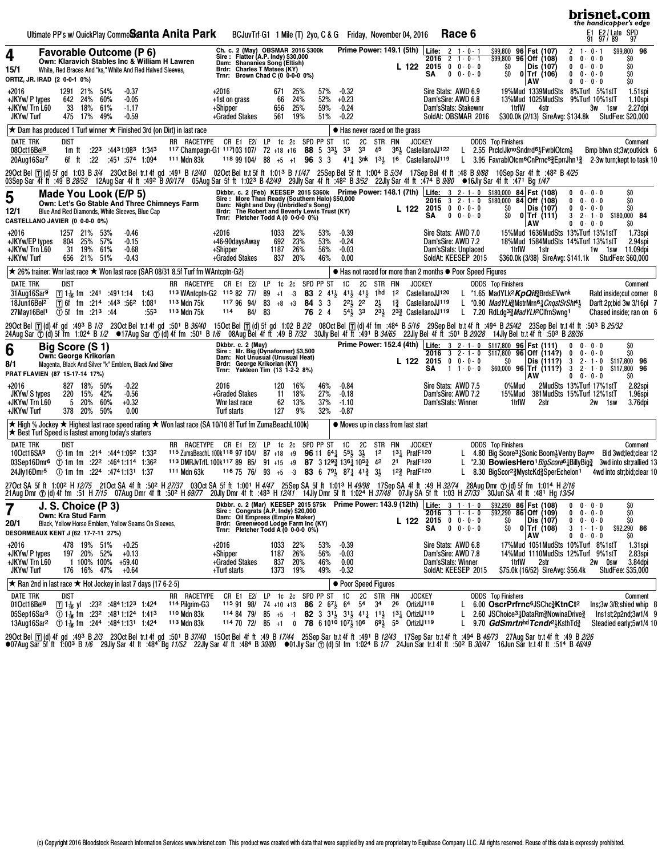|                                                                                           |                                                                              |                                          |                                           |                           |                                                                                                                                                                                              |                                                                      | Ultimate PP's w/ QuickPlay Comme <b>Santa Anita Park</b>                                                                                                                                                                                                                                                                                                                                                                               |                                      |                                  |                                      | BCJuvTrf-G1 1 Mile (T) 2yo, C & G Friday, November 04, 2016                                                                                                                                                                                                                                                         |                          |                                                                   |                                  |                 |                                                                                                     |                                                                                                                                                                                     | Race 6                            |                                                                         |                                                                                                                                                                                                                                                                 |                                                       | brisnet.com<br>the handicapper's edge<br>E1 E2 / Late SPD<br>91 97 / 89 97 |                                                                                             |
|-------------------------------------------------------------------------------------------|------------------------------------------------------------------------------|------------------------------------------|-------------------------------------------|---------------------------|----------------------------------------------------------------------------------------------------------------------------------------------------------------------------------------------|----------------------------------------------------------------------|----------------------------------------------------------------------------------------------------------------------------------------------------------------------------------------------------------------------------------------------------------------------------------------------------------------------------------------------------------------------------------------------------------------------------------------|--------------------------------------|----------------------------------|--------------------------------------|---------------------------------------------------------------------------------------------------------------------------------------------------------------------------------------------------------------------------------------------------------------------------------------------------------------------|--------------------------|-------------------------------------------------------------------|----------------------------------|-----------------|-----------------------------------------------------------------------------------------------------|-------------------------------------------------------------------------------------------------------------------------------------------------------------------------------------|-----------------------------------|-------------------------------------------------------------------------|-----------------------------------------------------------------------------------------------------------------------------------------------------------------------------------------------------------------------------------------------------------------|-------------------------------------------------------|----------------------------------------------------------------------------|---------------------------------------------------------------------------------------------|
| 4<br>15/1<br>ORTIZ, JR. IRAD (2 0-0-1 0%)                                                 |                                                                              |                                          |                                           |                           | <b>Favorable Outcome (P 6)</b>                                                                                                                                                               | White, Red Braces And "ks," White And Red Halved Sleeves,            | Own: Klaravich Stables Inc & William H Lawren                                                                                                                                                                                                                                                                                                                                                                                          | Trnr:                                | Brdr: Charles T Matses (KY)      |                                      | Ch. c. 2 (May) OBSMAR 2016 \$300k<br>Sire: Flatter (A.P. Indy) \$30,000<br>Dam: Shananies Song (Eltish)<br>Brown Chad C (0 0-0-0 0%)                                                                                                                                                                                |                          |                                                                   |                                  |                 | L 122                                                                                               | Prime Power: 149.1 (5th)   Life: 2 1 - 0 - 1<br>2016<br>$2015$ 0 0 - 0 - 0<br>SΑ                                                                                                    | $2$ 1 - 0 - 1<br>$0 \t 0 - 0 - 0$ | \$99,800 96 Fst (107)<br>$\frac{1}{599,800}$ 96 Off (108)<br>ŞO.<br>SO. | Dis (107)<br>$0$   Trf (106)<br>AW                                                                                                                                                                                                                              | $\mathbf{2}$<br>0<br>0<br>$\mathbf 0$<br>$\mathbf{0}$ | $1 - 0 - 1$<br>$0 - 0 - 0$<br>$0 - 0 - 0$<br>$0 - 0 - 0$<br>$0 - 0 - 0$    | \$99,800 96<br>\$O<br>\$O<br>\$O<br>\$O                                                     |
| +2016<br>+JKYw/ P types<br>+JKYw/ Trn L60<br>JKYw/Turf                                    |                                                                              | 1291 21%<br>642 24%<br>33                | 18%<br>475 17%                            | 54%<br>60%<br>61%<br>49%  | $-0.37$<br>$-0.05$<br>$-1.17$<br>$-0.59$                                                                                                                                                     |                                                                      |                                                                                                                                                                                                                                                                                                                                                                                                                                        | $+2016$<br>+1st on grass<br>+Shipper | +Graded Stakes                   | 671<br>66<br>656<br>561              | 25%<br>24%<br>25%<br>19%                                                                                                                                                                                                                                                                                            | 57%<br>52%<br>59%<br>51% | $-0.32$<br>$+0.23$<br>$-0.24$<br>$-0.22$                          |                                  |                 |                                                                                                     | Sire Stats: AWD 6.9<br>Dam'sSire: AWD 6.8<br>Dam'sStats: Stakewnr<br>SoldAt: OBSMAR 2016                                                                                            |                                   | 1trfW                                                                   | 19%Mud 1339MudSts<br>13%Mud 1025MudSts<br>4str<br>\$300.0k (2/13) SireAvg: \$134.8k StudFee: \$20,000                                                                                                                                                           |                                                       | 8%Turf 5%1stT<br>9%Turf 10%1stT<br>3w 1sw                                  | 1.51spi<br>1.10spi<br>2.27dpi                                                               |
|                                                                                           |                                                                              |                                          |                                           |                           |                                                                                                                                                                                              |                                                                      | $\star$ Dam has produced 1 Turf winner $\star$ Finished 3rd (on Dirt) in last race                                                                                                                                                                                                                                                                                                                                                     |                                      |                                  |                                      |                                                                                                                                                                                                                                                                                                                     |                          | $\bullet$ Has never raced on the grass                            |                                  |                 |                                                                                                     |                                                                                                                                                                                     |                                   |                                                                         |                                                                                                                                                                                                                                                                 |                                                       |                                                                            |                                                                                             |
| <b>DATE TRK</b><br>08Oct16Bel <sup>8</sup><br>20Aug16Sar7                                 |                                                                              | dist<br>1m ft<br>6f ft                   | :22                                       |                           | $:22^3$ $:44^31:08^3$ 1:343<br>:451 :574 1:094                                                                                                                                               |                                                                      | RR RACETYPE CR E1 E2/ LP 1c 2c SPD PP ST<br>117 Champagn-G1 117103 107/ 72 +18 +16 88 5 33 33 33 45 36 GastellanoJJ122 L 2.55 PrctclJknoSndrrd6}FvrblOtcm}<br>111 Mdn 83k                                                                                                                                                                                                                                                              |                                      |                                  |                                      | $11899104/88$ +5 +1 96 3 3                                                                                                                                                                                                                                                                                          |                          | <b>1C</b>                                                         | 2C                               | STR FIN         | <b>JOCKEY</b>                                                                                       | 411 3nk 131 16 CastellanoJJ119                                                                                                                                                      |                                   | <b>ODDS</b> Top Finishers                                               | L 3.95 FavrablOtcm <sup>6</sup> CnPrnc <sup>8</sup> <sup>3</sup> EprrJhn <sup>1</sup> <sup>3</sup> 2-3w turn; kept to task 10                                                                                                                                   |                                                       |                                                                            | Comment<br>Bmp btwn st;3w;outkick 6                                                         |
|                                                                                           |                                                                              |                                          |                                           |                           |                                                                                                                                                                                              |                                                                      | 290ctBel iT dl)5fgd 1:03 B3/4 23OctBeltr.t4fgd :491 B <i>12/40</i> 02OctBeltr.t5fft 1:01 <sup>3</sup> B <i>11/47</i> 25SepBel5fft 1:004 B <i>5/34</i> 17SepBel4fft :48 B <i>9/88</i> 10SepSar 4fft :48° B <i>4/25</i><br>03SepSar 41`ití .49`B <i>28/52</i> 12AugSar 4fft .49≥`B <i>90/174</i> 05AugSar 5fft 1:02ªB4 <i>2/49</i> 29JlySar 4fft .48≥B <i>3/52</i> 22JlySar 4fft .47+B <i>9/80</i> ●16JlySar 4fft .47+B <sub>1</sub> /47 |                                      |                                  |                                      |                                                                                                                                                                                                                                                                                                                     |                          |                                                                   |                                  |                 |                                                                                                     |                                                                                                                                                                                     |                                   |                                                                         |                                                                                                                                                                                                                                                                 |                                                       |                                                                            |                                                                                             |
| 5<br>12/1<br>CASTELLANO JAVIER (0 0-0-0 0%)                                               |                                                                              |                                          |                                           |                           | Made You Look (E/P 5)<br>Blue And Red Diamonds, White Sleeves, Blue Cap                                                                                                                      |                                                                      | Own: Let's Go Stable And Three Chimneys Farm                                                                                                                                                                                                                                                                                                                                                                                           |                                      |                                  |                                      | Trnr: Pletcher Todd A (0 0-0-0 0%)                                                                                                                                                                                                                                                                                  |                          |                                                                   |                                  |                 |                                                                                                     | SΑ                                                                                                                                                                                  | $0 \t 0 - 0 - 0$                  | SO.                                                                     | Dkbbr. c. 2 (Feb) KEESEP 2015 \$360k Prime Power: 148.1 (7th) Life: 3 2 1 0 \$180,000 84 Fst (108)<br>Sine: More Than Ready (Southern Halo) \$50,000 2016 3 2 1 0 \$180,000 84 Off (108)<br>Dam: Night and Day (Unbridled's Song) 2015 0<br>$0$ Trf (111)<br>AW | 0<br>0<br>0<br>3<br>$\mathbf{0}$                      | $0 - 0 - 0$<br>$0 - 0 - 0$<br>$0 - 0 - 0$<br>$2 - 1 - 0$<br>$0 - 0 - 0$    | \$0<br>\$O<br>\$O<br>\$180,000 84<br>\$O                                                    |
| +2016<br>+JKYw/EP types<br>+JKYw/Trn L60<br>+JKYw/ Turf                                   |                                                                              | 1257 21%<br>804 25%                      | 31 19%<br>656 21%                         | 53%<br>57%<br>61%<br>51%  | $-0.46$<br>$-0.15$<br>-0.68<br>$-0.43$                                                                                                                                                       |                                                                      |                                                                                                                                                                                                                                                                                                                                                                                                                                        | $+2016$<br>+Shipper                  | +46-90daysAway<br>+Graded Stakes | 1033<br>692<br>1187<br>837           | 22%<br>23%<br>26%<br>20%                                                                                                                                                                                                                                                                                            | 53%<br>53%<br>56%<br>46% | $-0.39$<br>$-0.24$<br>$-0.03$<br>0.00                             |                                  |                 |                                                                                                     | Sire Stats: AWD 7.0<br>Dam'sSire: AWD 7.2<br>Dam'sStats: Unplaced<br>SoldAt: KEESEP 2015                                                                                            |                                   | 1trfW                                                                   | 15%Mud 1636MudSts 13%Turf 13%1stT<br>18%Mud 1584MudSts 14%Turf 13%1stT<br>1str<br>\$360.0k (3/38) SireAvg: \$141.1k StudFee: \$60,000                                                                                                                           |                                                       | 1w 1sw                                                                     | 1.73spi<br>2.94spi<br>11.09dpi                                                              |
|                                                                                           |                                                                              |                                          |                                           |                           |                                                                                                                                                                                              |                                                                      | ★ 26% trainer: Wnr last race ★ Won last race (SAR 08/31 8.5f Turf fm WAntcptn-G2)                                                                                                                                                                                                                                                                                                                                                      |                                      |                                  |                                      |                                                                                                                                                                                                                                                                                                                     |                          |                                                                   |                                  |                 |                                                                                                     | ● Has not raced for more than 2 months ● Poor Speed Figures                                                                                                                         |                                   |                                                                         |                                                                                                                                                                                                                                                                 |                                                       |                                                                            |                                                                                             |
| <b>DATE TRK</b><br>31Aug16Sar <sup>9</sup><br>18Jun16Bel <sup>2</sup><br>27May16Bel1      |                                                                              | dist<br>144: <sup>1</sup> 10 5f fm:      |                                           |                           | $\boxed{1}$ 1 $\frac{1}{16}$ fm : 24 <sup>1</sup> : 49 <sup>1</sup> 1:14 1:43<br>$\Pi$ 6f fm :214 :443 :56 <sup>2</sup> 1:081                                                                | :553                                                                 | RR RACETYPE CR E1 E2/ LP 1c 2c SPD PP ST<br>113 WAntcptn-G2 115 82 77/<br>113 Mdn 75k<br>113 Mdn 75k                                                                                                                                                                                                                                                                                                                                   | 114                                  | 117 96 94/<br>84/                | $89 + 1 - 3$<br>$83 + 8 + 3$<br>- 83 |                                                                                                                                                                                                                                                                                                                     | 84 3 3<br>76 2 4         | 1C<br>83 2 413 413 413 1hd<br>$2^2$ , $2^2$<br>$54\frac{1}{2}$ 33 | 2C<br>$2\frac{1}{2}$             | STR FIN<br>- 12 | <b>JOCKEY</b>                                                                                       | CastellanoJJ120<br>1 <sup>3</sup> CastellanoJJ <sup>119</sup><br>$231$ $232$ CastellanoJJ <sup>119</sup>                                                                            |                                   | <b>ODDS</b> Top Finishers                                               | L *1.65 MadYLk <sup>2</sup> <i>KpQit</i> 3BrdsEVwnk<br>L *0.90 $MadYLk^3dMstrMrn64\text{C}ngstSrShf44$<br>L 7.20 RdLdg <sup>3</sup> 3MadYLk <sup>2</sup> ClfrnSwng <sup>1</sup>                                                                                 |                                                       |                                                                            | Comment<br>Ratd inside; cut corner 8<br>Darft 2p;bid 3w 3/16pl 7<br>Chased inside; ran on 6 |
|                                                                                           |                                                                              |                                          |                                           |                           |                                                                                                                                                                                              |                                                                      | 29OctBel⊡[(d)4fgd :49ªB1/3/23OctBeltr.t4fgd :501B <i>36/40</i> 15OctBel⊡[(d)5fgd 1:02B <i>2/2</i> 08OctBel⊡[(d)4ffm :48+B <i>5/16</i> 29SepBeltr.t4fft :49+B <i>25/42</i> 23SepBeltr.t4fft :50ªB <i>25/32</i><br>24AugSar①(d)5ffm 1:02+B1/2 ●17AugSar①(d)4ffm                                                                                                                                                                          |                                      |                                  |                                      |                                                                                                                                                                                                                                                                                                                     |                          |                                                                   |                                  |                 |                                                                                                     |                                                                                                                                                                                     |                                   |                                                                         |                                                                                                                                                                                                                                                                 |                                                       |                                                                            |                                                                                             |
| 6<br>8/1<br>PRAT FLAVIEN (87 15-17-14 17%)                                                |                                                                              | Big Score (S 1)<br>Own: George Krikorian |                                           |                           |                                                                                                                                                                                              | Magenta, Black And Silver "k" Emblem, Black And Silver               |                                                                                                                                                                                                                                                                                                                                                                                                                                        | Trnr:                                | Brdr: George Krikorian (KY)      |                                      | Dkbbr. c. 2 (May)<br>Sire: Mr. Big (Dynaformer) \$3,500<br>Dam: Not Unusual (Unusual Heat)<br>Yakteen Tim (13 1-2-2 8%)                                                                                                                                                                                             |                          |                                                                   |                                  |                 | L 122                                                                                               | $2016$ 3 2 - 1 - 0<br>$2015$ 0 0 $0 - 0 - 0$<br>SΑ                                                                                                                                  | $1 + 0 - 0$                       | ŞO.                                                                     | Prime Power: 152.4 (4th) Life: 3 2-1-0 \$117,800 96 Fst (111)<br>$$117,800$ 96 Off (114?)<br>Dis (111?)<br>$$60,000$ 96 Trf (111?)<br>AW                                                                                                                        | 0<br>$\mathbf 0$<br>3<br>$\mathbf{3}$<br>$\mathbf{0}$ | $0 - 0 - 0$<br>$0 - 0 - 0$<br>$2 - 1 - 0$<br>$2 - 1 - 0$<br>$0 - 0 - 0$    | \$O<br>ŠŌ.<br>\$117,800 96<br>- 96<br>\$117,800<br>SO                                       |
| +2016<br>JKYw/ S types<br>+JKYw/ Trn L60<br>+JKYw/Turf                                    |                                                                              | 220 15%                                  | 827 18%<br>5 20%<br>378 20% 50%           | 50%<br>42%<br>60%         | $-0.22$<br>$-0.56$<br>$+0.32$<br>0.00                                                                                                                                                        |                                                                      |                                                                                                                                                                                                                                                                                                                                                                                                                                        | 2016<br>Turf starts                  | +Graded Stakes<br>Wnr last race  | 120<br>11<br>62<br>127               | 16%<br>18%<br>13%<br>9%                                                                                                                                                                                                                                                                                             | 46%<br>27%<br>37%<br>32% | $-0.84$<br>$-0.18$<br>$-1.10$<br>$-0.87$                          |                                  |                 |                                                                                                     | Sire Stats: AWD 7.5<br>Dam'sSire: AWD 7.2<br>Dam'sStats: Winner                                                                                                                     |                                   | 0%Mud<br>15%Mud<br>1trfW                                                | 381 MudSts 15% Turf 12% 1st T<br>2str                                                                                                                                                                                                                           |                                                       | 2MudSts 13%Turf 17%1stT<br>2w<br>1sw                                       | 2.82spi<br>1.96spi<br>3.76dpi                                                               |
|                                                                                           | ★ Best Turf Speed is fastest among today's starters                          |                                          |                                           |                           |                                                                                                                                                                                              |                                                                      | <b>★ High % Jockey ★ Highest last race speed rating ★ Won last race (SA 10/10 8f Turf fm ZumaBeachL100k)</b>                                                                                                                                                                                                                                                                                                                           |                                      |                                  |                                      |                                                                                                                                                                                                                                                                                                                     |                          | $\bullet$ Moves up in class from last start                       |                                  |                 |                                                                                                     |                                                                                                                                                                                     |                                   |                                                                         |                                                                                                                                                                                                                                                                 |                                                       |                                                                            |                                                                                             |
| <b>DATE TRK</b><br>10Oct16SA9<br>24Jly16Dmr <sup>5</sup>                                  | 03Sep16Dmr <sup>6</sup> ① 1m fm :22 <sup>2</sup> :4641:114 1:36 <sup>2</sup> | <b>DIST</b>                              |                                           |                           | $\circled{1}$ 1m fm :214 :4441:092 1:332<br>$\circled{1}$ 1m fm $:224$ $:4741:131$ 1:37                                                                                                      |                                                                      | RR RACETYPE CR E1 E2/ LP 1c 2c SPD PP ST 1C<br>115 ZumaBeachL 100k <sup>118</sup> 97 104/ 87 +18 +9 <b>96</b> 11 $64\frac{1}{4}$ 5 <sup>5</sup> 3 <sup>1</sup> / <sub>2</sub><br>113 DMRJvTrfL 100k117 89 85/ 91 +15 +9 87 3 129 3 136 105 3<br><sup>111</sup> Mdn 63k                                                                                                                                                                 |                                      |                                  |                                      | 116 75 76/ 93 +5 -3 83 6 79 $\frac{1}{2}$ 8 <sup>7</sup> $\frac{1}{4}$ 41 <sup>3</sup> / <sub>4</sub>                                                                                                                                                                                                               |                          |                                                                   | 2C<br>12<br>42<br>$3\frac{1}{2}$ | STR FIN         | <b>JOCKEY</b><br>131 PratF120<br>21 PratF120<br>12 <sup>3</sup> / <sub>2</sub> Prat <sub>F120</sub> |                                                                                                                                                                                     | L.                                | <b>ODDS</b> Top Finishers                                               | L 4.80 Big Score <sup>3</sup> & Sonic Boom <sup>3</sup> Ventry Bayno Bid 3 wd; led; clear 12<br>L *2.30 BowiesHero <sup>1</sup> BigScore <sup>6</sup> 1BillyBig <sup>3</sup><br>8.30 BigScor <sup>2</sup> MystcKd 3 Sper Echelon <sup>1</sup>                   |                                                       |                                                                            | Comment<br>3wd into str;rallied 13<br>4wd into str;bid;clear 10                             |
|                                                                                           |                                                                              |                                          |                                           |                           |                                                                                                                                                                                              |                                                                      | 270ctSA 5fft 1:00 <sup>2</sup> H12/75 21OctSA 4fft :50 <sup>2</sup> H27/37 03OctSA 5fft 1:00 <sup>1</sup> H4/47 25SepSA 5fft 1:01 <sup>3</sup> H4 <i>9/98</i> 17SepSA 4fft :49H32/74 28AugDmr ①(d)5ffm 1:014H2/1 <i>6</i><br>21Aug Dmr (T)(d)41 fm :51 H <i>7/15</i> O7Aug Dmr 41 ft :50 <sup>2</sup> H <i>69/77</i> 20Jly Dmr 41 ft :483 H <i>12/41</i> 14Jly Dmr 5f ft 1:024 H <i>37/48</i> O7Jly SA 5f ft 1:03 H <i>27/33</i>       |                                      |                                  |                                      |                                                                                                                                                                                                                                                                                                                     |                          |                                                                   |                                  |                 |                                                                                                     |                                                                                                                                                                                     |                                   |                                                                         | 30Jun SA 41 ft :48 <sup>1</sup> Hg 73/54                                                                                                                                                                                                                        |                                                       |                                                                            |                                                                                             |
| 20/1<br><b>DESORMEAUX KENT J (62 17-7-11 27%)</b>                                         |                                                                              | <b>Own: Kra Stud Farm</b>                |                                           | <b>J. S. Choice (P 3)</b> |                                                                                                                                                                                              | Black, Yellow Horse Emblem, Yellow Seams On Sleeves,                 |                                                                                                                                                                                                                                                                                                                                                                                                                                        |                                      |                                  |                                      | Dam: Oil Empress (Empire Maker)<br>Brdr: Greenwood Lodge Farm Inc (KY)<br>Trnr: Pletcher Todd A (0 0-0-0 0%)                                                                                                                                                                                                        |                          |                                                                   |                                  |                 | L 122                                                                                               | Dkbbr. c. 2 (Mar) KEESEP 2015 \$75k Prime Power: 143.9 (12th) Life: 3 1-1-0<br>Sire: Congrats (A.P. Indy) \$20,000<br>2016 3 1 - 1 - 0<br><b>2015</b> $0 \t 0 \t 0 \t 0 \t 0$<br>SΑ | $0 \t 0 - 0 - 0$                  | \$92,290 86 Off (109)<br>SO.<br>\$O                                     | \$92,290 86 Fst (108)<br>Dis (107)<br>$0$ Trf (108)<br>AW                                                                                                                                                                                                       | 0<br>0<br>3<br>$\mathbf 0$                            | $0 - 0 - 0$<br>$0 - 0 - 0$<br>$0 - 0 - 0$<br>$1 - 1 - 0$<br>$0 - 0 - 0$    | \$0<br>\$O<br>\$O<br>\$92,290 86<br>SO.                                                     |
| +2016<br>+JKYw/ P types<br>+JKYw/ Trn L60<br>JKYw/Turf                                    |                                                                              |                                          | 478 19% 51%<br>197 20% 52%<br>176 16% 47% | 1 100% 100%               | $+0.25$<br>$+0.13$<br>+59.40<br>+0.64                                                                                                                                                        |                                                                      |                                                                                                                                                                                                                                                                                                                                                                                                                                        | +2016<br>+Shipper<br>+Turf starts    | +Graded Stakes                   | 1033<br>1187<br>837<br>1373          | 22%<br>26%<br>20%<br>19%                                                                                                                                                                                                                                                                                            | 53%<br>56%<br>46%<br>49% | $-0.39$<br>$-0.03$<br>0.00<br>$-0.32$                             |                                  |                 |                                                                                                     | Sire Stats: AWD 6.8<br>Dam'sSire: AWD 7.8<br>Dam'sStats: Winner<br>SoldAt: KEESEP 2015                                                                                              |                                   | 1trfW                                                                   | 17%Mud 1051MudSts 10%Turf 8%1stT<br>14%Mud 1110MudSts 12%Turf 9%1stT<br>2str<br>\$75.0k (16/52) SireAvg: \$56.4k                                                                                                                                                |                                                       | 2w Osw                                                                     | 1.31spi<br>2.83spi<br>3.84dpi<br><b>StudFee: \$35,000</b>                                   |
|                                                                                           |                                                                              |                                          |                                           |                           |                                                                                                                                                                                              | <b>★ Ran 2nd in last race ★ Hot Jockey in last 7 days (17 6-2-5)</b> |                                                                                                                                                                                                                                                                                                                                                                                                                                        |                                      |                                  |                                      |                                                                                                                                                                                                                                                                                                                     |                          | ● Poor Speed Figures                                              |                                  |                 |                                                                                                     |                                                                                                                                                                                     |                                   |                                                                         |                                                                                                                                                                                                                                                                 |                                                       |                                                                            |                                                                                             |
| DATE TRK<br>01Oct16Bel <sup>8</sup><br>05Sep16Sar <sup>3</sup><br>13Aug16Sar <sup>2</sup> |                                                                              | dist                                     |                                           |                           | $\boxed{1}$ 1 $\frac{1}{16}$ y $\boxed{1}$ :23 <sup>2</sup> :48 <sup>4</sup> 1:12 <sup>3</sup> 1:42 <sup>4</sup><br>① 1-4 fm $:23^2$ :4811:124 1:413<br>① 14 fm $:244 \t :4841:131 \t 1:424$ |                                                                      | RR RACETYPE<br><sup>114</sup> Pilgrim-G3<br>110 Mdn 83k<br>113 Mdn 83k                                                                                                                                                                                                                                                                                                                                                                 |                                      | 115 91 98/                       |                                      | CR E1 E2/ LP 1c 2c SPD PP ST<br>74 +10 +13 86 2 $6^{7}\frac{1}{2}$ 6 <sup>4</sup> 5 <sup>4</sup><br>114 84 79/ 85 $+5$ -1 82 3 31 $\frac{1}{2}$ 31 $\frac{1}{2}$ 41 $\frac{1}{4}$ 11 $\frac{1}{2}$ 13 $\frac{1}{4}$ OrtizIJ119<br>114 70 72/ 85 +1 0 78 6 1010 107 $\frac{1}{2}$ 106 69 $\frac{1}{2}$ 55 OrtizIJ119 |                          | 1C                                                                | 2C<br>34                         | STR FIN<br>26   | <b>JOCKEY</b><br>OrtizIJ <sup>118</sup>                                                             |                                                                                                                                                                                     | L.<br>L                           | <b>ODDS</b> Top Finishers                                               | 6.00 OscrPrfrnc <sup>6</sup> JSChc3KtnCt <sup>2</sup><br>2.60 JSChoice <sup>3</sup> ¿DataRm <sup>3</sup> NowinaDrive <sup>3</sup><br>9.70 GdSmrtnhd Tcndr <sup>21</sup> <sub>5</sub> KsthTd?                                                                    |                                                       |                                                                            | Comment<br>$Ins; 3w$ 3/8; shied whip 8<br>Ins1st;2p2nd;3w1/4 9<br>Steadied early;5w1/4 10   |

29OctBel⊡(d)4fgd :49ªB2/3/23OctBeltr.t4fgd :501 B*37/40*/15OctBel4fft :49B*17/44*/25SepSartr.t4fft :491 B*12/43*/17SepSartr.t4fft :49<del>1</del> B*12/43 17SepSartr.t4fft :494 B46/73*/27AugSartr.t4fft :49ft :498*2/26*<br>●07AugSar5ff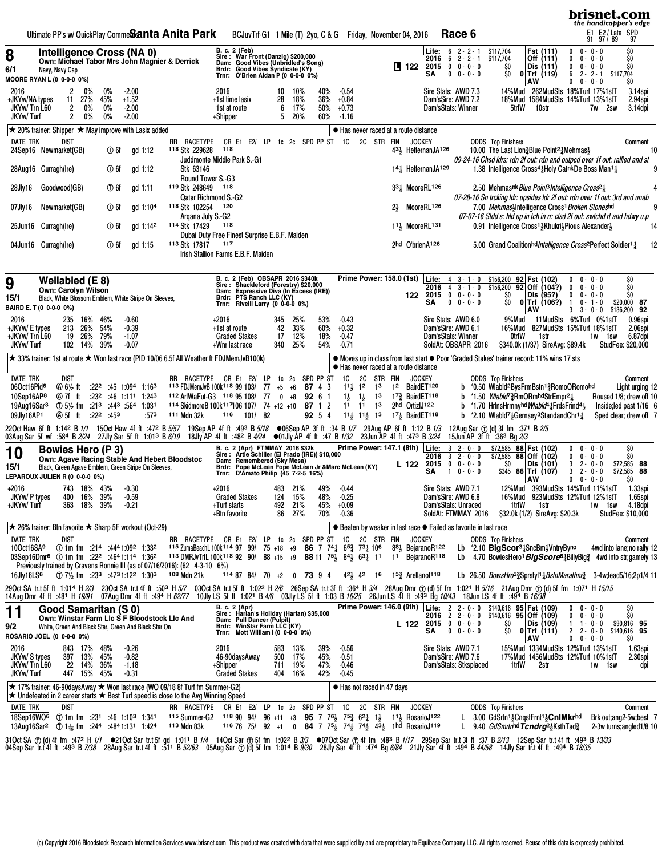|                                                                                                                                                                                                                                                                                                                                     |                                        |                                           |                                         |                          |             |                                                                                                                                               | Ultimate PP's w/ QuickPlay Comme <b>Scanta Anita Park</b>                                                               |                                               |                                                     | BCJuvTrf-G1 1 Mile (T) 2yo, C & G Friday, November 04, 2016                                                                                                                                                                                                                                             |                            |                              |                                                   |                                                                                                          |                                                  |                                          |                                 |                                                                                         |              | Race 6                                               |                                                                                                        |                          |                                                                                    |                                                                                                                                                                                                                                                                                                      |                                                                                  | brisnet.com<br>the handicapper's edge<br>E1 E2/Late SPD<br>91 97/89 97                                                                                             |                                                                                                            |     |
|-------------------------------------------------------------------------------------------------------------------------------------------------------------------------------------------------------------------------------------------------------------------------------------------------------------------------------------|----------------------------------------|-------------------------------------------|-----------------------------------------|--------------------------|-------------|-----------------------------------------------------------------------------------------------------------------------------------------------|-------------------------------------------------------------------------------------------------------------------------|-----------------------------------------------|-----------------------------------------------------|---------------------------------------------------------------------------------------------------------------------------------------------------------------------------------------------------------------------------------------------------------------------------------------------------------|----------------------------|------------------------------|---------------------------------------------------|----------------------------------------------------------------------------------------------------------|--------------------------------------------------|------------------------------------------|---------------------------------|-----------------------------------------------------------------------------------------|--------------|------------------------------------------------------|--------------------------------------------------------------------------------------------------------|--------------------------|------------------------------------------------------------------------------------|------------------------------------------------------------------------------------------------------------------------------------------------------------------------------------------------------------------------------------------------------------------------------------------------------|----------------------------------------------------------------------------------|--------------------------------------------------------------------------------------------------------------------------------------------------------------------|------------------------------------------------------------------------------------------------------------|-----|
| 8<br>6/1<br>MOORE RYAN L (0 0-0-0 0%)                                                                                                                                                                                                                                                                                               | Navy, Navy Cap                         |                                           |                                         |                          |             | Intelligence Cross (NA 0)                                                                                                                     | Own: Michael Tabor Mrs John Magnier & Derrick                                                                           |                                               | Trnr:                                               | B. c. 2 (Feb)<br>Sire : War Front (Danzig) \$200,000<br>Dam: Good Vibes (Unbridled's Song)<br>Brdr: Good Vibes Syndicate (KY)<br>O'Brien Aidan P (0 0-0-0 0%)                                                                                                                                           |                            |                              |                                                   |                                                                                                          |                                                  |                                          | <b>LE</b> 122                   | <b>Life:</b> $6 \t2 - 2 - 1$<br>2016<br>2015<br>SΑ                                      |              | $62 - 2 - 1$<br>$0 \t 0 - 0 - 0$<br>$0 \t 0 - 0 - 0$ | \$117,704<br>\$117,704<br>SO<br>SO.                                                                    |                          | Fst (111)<br>Off (111)<br>Dis (111)<br>$0$ Trf (119)<br>AW                         |                                                                                                                                                                                                                                                                                                      | 0<br>0<br>0<br>6<br>$\mathbf{0}$                                                 | $0 - 0 - 0$<br>$0 - 0 - 0$<br>$0 - 0 - 0$<br>$2 - 2 - 1$<br>$0 - 0 - 0$                                                                                            | \$O<br>\$O<br>\$O<br>\$117,704<br>\$O                                                                      |     |
| 2016<br>+JKYw/NA types<br>JKYw/Trn L60<br>JKYw/Turf                                                                                                                                                                                                                                                                                 |                                        | 2<br>2<br>2                               | $0\%$<br>11 27%<br>$0\%$<br>$0\%$       | $0\%$<br>45%<br>0%<br>0% |             | $-2.00$<br>$+1.52$<br>$-2.00$<br>$-2.00$                                                                                                      |                                                                                                                         |                                               | 2016<br>+1st time lasix<br>1st at route<br>+Shipper |                                                                                                                                                                                                                                                                                                         | 10<br>28<br>6<br>5         | 10%<br>18%<br>17%<br>20%     | 40%<br>36%<br>50%<br>60%                          | $-0.54$<br>$+0.84$<br>$+0.73$<br>$-1.16$                                                                 |                                                  |                                          |                                 | Sire Stats: AWD 7.3<br>Dam'sSire: AWD 7.2<br>Dam'sStats: Winner                         |              |                                                      |                                                                                                        | 5trfW                    | 10str                                                                              |                                                                                                                                                                                                                                                                                                      |                                                                                  | 14%Mud 262MudSts 18%Turf 17%1stT<br>18%Mud 1584MudSts 14%Turf 13%1stT<br>7w 2sw                                                                                    | 3.14spi<br>2.94spi<br>3.14dpi                                                                              |     |
| $\star$ 20% trainer: Shipper $\star$ May improve with Lasix added                                                                                                                                                                                                                                                                   |                                        |                                           |                                         |                          |             |                                                                                                                                               |                                                                                                                         |                                               |                                                     |                                                                                                                                                                                                                                                                                                         |                            |                              |                                                   | ● Has never raced at a route distance                                                                    |                                                  |                                          |                                 |                                                                                         |              |                                                      |                                                                                                        |                          |                                                                                    |                                                                                                                                                                                                                                                                                                      |                                                                                  |                                                                                                                                                                    |                                                                                                            |     |
| <b>DATE TRK</b><br>24Sep16 Newmarket(GB)                                                                                                                                                                                                                                                                                            |                                        | <b>DIST</b>                               |                                         |                          | $\times$ 6f |                                                                                                                                               | gd 1:12                                                                                                                 | RR RACETYPE<br>118 Stk 229628                 | 118                                                 | CR E1 E2/ LP<br>Juddmonte Middle Park S.-G1                                                                                                                                                                                                                                                             |                            |                              | 1c 2c SPD PP ST                                   | <b>1C</b>                                                                                                |                                                  | 2C STR FIN                               | <b>JOCKEY</b>                   | 43 <sup>1</sup> / <sub>5</sub> HeffernanJA <sup>126</sup>                               |              |                                                      | <b>ODDS</b> Top Finishers                                                                              |                          |                                                                                    | 10.00 The Last Lion § Blue Point <sup>2</sup> & Mehmas 3                                                                                                                                                                                                                                             |                                                                                  | 09-24-16 Chsd Idrs: rdn 2f out: rdn and outpcd over 1f out: rallied and st                                                                                         | Comment                                                                                                    | 10  |
| 28Aug16 Curragh(Ire)                                                                                                                                                                                                                                                                                                                |                                        |                                           |                                         |                          | $\times$ 6f |                                                                                                                                               | $gd$ 1:12                                                                                                               | Stk 63146<br>Round Tower S.-G3                |                                                     |                                                                                                                                                                                                                                                                                                         |                            |                              |                                                   |                                                                                                          |                                                  |                                          |                                 | 1 <sup>41</sup> HeffernanJA <sup>129</sup>                                              |              |                                                      |                                                                                                        |                          |                                                                                    |                                                                                                                                                                                                                                                                                                      |                                                                                  | 1.38 Intelligence Cross <sup>4</sup> Holy Catnk De Boss Man <sup>1</sup> 1                                                                                         |                                                                                                            |     |
| 28Jly16                                                                                                                                                                                                                                                                                                                             | Goodwood(GB)                           |                                           |                                         |                          | ① 6f        |                                                                                                                                               | gd 1:11                                                                                                                 | 119 Stk 248649<br><b>Qatar Richmond S.-G2</b> | 118                                                 |                                                                                                                                                                                                                                                                                                         |                            |                              |                                                   |                                                                                                          |                                                  |                                          |                                 | 331 MooreRL126                                                                          |              |                                                      |                                                                                                        |                          |                                                                                    | 2.50 Mehmasnk Blue Point <sup>3</sup> Intelligence Cross <sup>21</sup>                                                                                                                                                                                                                               |                                                                                  | 07-28-16 Sn trcking Idr: upsides Idr 2f out: rdn over 1f out: 3rd and unab                                                                                         |                                                                                                            |     |
| 07Jly16                                                                                                                                                                                                                                                                                                                             | Newmarket(GB)                          |                                           |                                         |                          | ① 6f        |                                                                                                                                               | gd 1:10 <sup>4</sup>                                                                                                    | 118 Stk 102254                                | 120                                                 |                                                                                                                                                                                                                                                                                                         |                            |                              |                                                   |                                                                                                          |                                                  |                                          |                                 | 2 <sup>1</sup> MooreRL <sup>126</sup>                                                   |              |                                                      |                                                                                                        |                          |                                                                                    |                                                                                                                                                                                                                                                                                                      |                                                                                  | 7.00 Mehmas-Intelligence Cross <sup>1</sup> Broken Stoneshd                                                                                                        |                                                                                                            |     |
| 25Jun16 Curragh(Ire)                                                                                                                                                                                                                                                                                                                |                                        |                                           |                                         |                          | $\times$ 6f |                                                                                                                                               | gd 1:14 <sup>2</sup>                                                                                                    | Argana July S.-G2<br>114 Stk 17429            | 118                                                 |                                                                                                                                                                                                                                                                                                         |                            |                              |                                                   |                                                                                                          |                                                  |                                          |                                 | $11\frac{1}{2}$ MooreRL131                                                              |              |                                                      |                                                                                                        |                          |                                                                                    |                                                                                                                                                                                                                                                                                                      |                                                                                  | 07-07-16 Stdd s: hld up in tch in rr: clsd 2f out: swtchd rt and hdwy u.p<br>0.91 Intelligence Cross <sup>1</sup> Khukri <sup>3</sup> Pious Alexander <sup>1</sup> |                                                                                                            |     |
| 04Jun16 Curragh(Ire)                                                                                                                                                                                                                                                                                                                |                                        |                                           |                                         |                          | $\times$ 6f |                                                                                                                                               | gd 1:15                                                                                                                 | 113 Stk 17817                                 | 117                                                 | Dubai Duty Free Finest Surprise E.B.F. Maiden<br>Irish Stallion Farms E.B.F. Maiden                                                                                                                                                                                                                     |                            |                              |                                                   |                                                                                                          |                                                  |                                          |                                 | 2hd O'brienA126                                                                         |              |                                                      |                                                                                                        |                          |                                                                                    |                                                                                                                                                                                                                                                                                                      |                                                                                  | 5.00 Grand Coalitionhd Intelligence Cross <sup>2</sup> Perfect Soldier <sup>1</sup>                                                                                |                                                                                                            |     |
|                                                                                                                                                                                                                                                                                                                                     |                                        |                                           |                                         |                          |             |                                                                                                                                               |                                                                                                                         |                                               |                                                     |                                                                                                                                                                                                                                                                                                         |                            |                              |                                                   |                                                                                                          |                                                  |                                          |                                 |                                                                                         |              |                                                      |                                                                                                        |                          |                                                                                    |                                                                                                                                                                                                                                                                                                      |                                                                                  |                                                                                                                                                                    |                                                                                                            |     |
| 9<br>15/1<br>BAIRD E. T (0 0-0-0 0%)                                                                                                                                                                                                                                                                                                | Wellabled (E 8)<br>Own: Carolyn Wilson |                                           |                                         |                          |             |                                                                                                                                               | Black, White Blossom Emblem, White Stripe On Sleeves,                                                                   |                                               |                                                     | B. c. 2 (Feb) OBSAPR 2016 \$340k<br>Sire: Shackleford (Forestry) \$20,000<br>Dam: Expressive Diva (In Excess (IRE))<br>Brdr: PTS Ranch LLC (KY)<br>Trnr: Rivelli Larry (0 0-0-0 0%)                                                                                                                     |                            |                              |                                                   |                                                                                                          |                                                  |                                          | 122                             | Prime Power: 158.0 (1st) Life: 4 3-1-0<br>2016<br>$2015$ 0 0 $0 - 0$<br>SΑ              |              | $4 \t3 - 1 - 0$<br>$0 \t 0 - 0 - 0$                  | \$156,200<br>$\frac{1}{5156,200}$ 92 Off (104?)<br>SO<br>SO.                                           |                          | 92 Fst (102)<br>Dis (95?)<br>$0$ Trf (106?)<br>AW                                  |                                                                                                                                                                                                                                                                                                      | $\bf{0}$<br>$\mathbf 0$<br>$\mathbf{1}$<br>3 -<br>3                              | $0 - 0 - 0$<br>$0 - 0 - 0$<br>$0 - 0 - 0$<br>$0 - 1 - 0$<br>$0 - 0$                                                                                                | \$0<br>ŠŌ.<br>\$O<br>\$20,000 87<br>\$136,200 92                                                           |     |
| 2016<br>+JKYw/ E types<br>+JKYw/ Trn L60<br><b>JKYw/Turf</b>                                                                                                                                                                                                                                                                        |                                        | 235<br>213                                | 16%<br>26%<br>19 26%<br>102 14%         | 46%<br>54%<br>79%<br>39% |             | -0.60<br>$-0.39$<br>$-1.07$<br>$-0.07$                                                                                                        |                                                                                                                         |                                               | $+2016$<br>+1st at route<br>+Wnr last race          | <b>Graded Stakes</b>                                                                                                                                                                                                                                                                                    | 345<br>42<br>17<br>340     | 25%<br>33%<br>12%<br>25%     | 53%<br>60%<br>18%<br>54%                          | $-0.43$<br>$+0.32$<br>$-0.47$<br>$-0.71$                                                                 |                                                  |                                          |                                 | Sire Stats: AWD 6.0<br>Dam'sSire: AWD 6.1<br>Dam'sStats: Winner<br>SoldAt: OBSAPR 2016  |              |                                                      |                                                                                                        | 9%Mud<br>16%Mud<br>0trfW | 1str                                                                               | \$340.0k (1/37) SireAvg: \$89.4k                                                                                                                                                                                                                                                                     |                                                                                  | 11MudSts 6%Turf 0%1stT<br>827MudSts 15%Turf 18%1stT<br>1w 1sw                                                                                                      | 0.96spi<br>2.06spi<br>6.87dpi<br><b>StudFee: \$20,000</b>                                                  |     |
| ★ 33% trainer: 1st at route ★ Won last race (PID 10/06 6.5f All Weather ft FDJMemJvB100k)                                                                                                                                                                                                                                           |                                        |                                           |                                         |                          |             |                                                                                                                                               |                                                                                                                         |                                               |                                                     |                                                                                                                                                                                                                                                                                                         |                            |                              |                                                   |                                                                                                          |                                                  |                                          |                                 |                                                                                         |              |                                                      |                                                                                                        |                          |                                                                                    | ● Moves up in class from last start ● Poor 'Graded Stakes' trainer record: 11% wins 17 sts                                                                                                                                                                                                           |                                                                                  |                                                                                                                                                                    |                                                                                                            |     |
| <b>DATE TRK</b><br>06Oct16Pid <sup>6</sup><br>10Sep16AP <sup>8</sup><br>19Aug16Sar <sup>3</sup><br>09Jly16AP1                                                                                                                                                                                                                       |                                        | dist<br><b>④6½ ft</b><br>④97fft<br>④95fft |                                         | :232<br>$:22^2:45^3$     |             | $:22^2$ :45 1:094 1:163<br>:46 1:11 1:243<br>① $5\frac{1}{2}$ fm $\cdot$ :21 <sup>3</sup> :44 <sup>3</sup> :56 <sup>4</sup> 1:03 <sup>1</sup> | .573                                                                                                                    | 111 Mdn 32k                                   | 116                                                 | RR RACETYPE CR E1 E2/ LP<br>113 FDJMemJvB 100k118 99 103/ 77 $+5$ $+6$<br>112 ArlWaFut-G3 118 95 108/ 77<br>$114$ SkidmoreB 100k <sup>117</sup> 106 107/ 74 +12 +10<br>101/82                                                                                                                           | 1c <sub>2c</sub><br>$0 +8$ |                              | SPD PP ST<br>87 4 3<br>92 6 1<br>87 1 2<br>92 5 4 | ● Has never raced at a route distance<br>1C<br>$11\frac{1}{2}$ 12<br>$1\frac{1}{2}$ $1\frac{1}{2}$<br>11 | 2C<br>11<br>$11\frac{1}{2}$ $11\frac{1}{2}$ $13$ | STR FIN<br>$1^3$<br>13<br>1 <sup>3</sup> | <b>JOCKEY</b><br>2hd OrtizIJ122 | 12 BairdET120<br>17 <sup>3</sup> BairdET118<br>171 BairdET118                           |              | b<br>b                                               | <b>ODDS</b> Top Finishers                                                                              |                          |                                                                                    | *0.50 Wlabld <sup>2</sup> BysFrmBstn13RomoORomohd<br>b *1.50 <i>Wlabld</i> <sup>7</sup> 3RmORmhdStrEmpr <sup>21</sup><br>*1.70 HrlnsHrmnyhd <i>Wlabld</i> <sup>4</sup> 1 FrdsFrind <sup>41</sup><br>b $*2.10 \text{ Walold}7\frac{1}{2}$ Gernsey <sup>3</sup> StandandChr <sup>1</sup> $\frac{1}{4}$ |                                                                                  |                                                                                                                                                                    | Comment<br>Light urging 12<br>Roused 1/8; drew off 10<br>Inside; led past 1/16 6<br>Sped clear; drew off 7 |     |
| 220ct Haw 6f ft 1:142 B 1/1 15Oct Haw 4f ft :472 B 5/57 19Sep AP 4f ft :493 B 5/18 @06Sep AP 3f ft :34 B 1/7 29Aug AP 6f ft 1:12 B 1/3                                                                                                                                                                                              |                                        |                                           |                                         |                          |             |                                                                                                                                               |                                                                                                                         |                                               |                                                     |                                                                                                                                                                                                                                                                                                         |                            |                              |                                                   |                                                                                                          |                                                  |                                          |                                 |                                                                                         |              |                                                      | 12Aug Sar ① (d) 3f fm :371 B $2/5$                                                                     |                          |                                                                                    |                                                                                                                                                                                                                                                                                                      |                                                                                  |                                                                                                                                                                    |                                                                                                            |     |
| 03Aug Sar 5f wf :584 B <i>2/24 2</i> 7Jly Sar 5f ft 1:01 <sup>3</sup> B <i>6/19</i> 18Jly AP 4f ft :48 <sup>2</sup> B 4/24 ●01Jly AP 4f ft :47 B 1/32 23Jun AP 4f ft :47 <sup>3</sup> B 3/24<br>10<br>15/1                                                                                                                          | <b>Bowies Hero (P3)</b>                |                                           |                                         |                          |             |                                                                                                                                               | Own: Agave Racing Stable And Hebert Bloodstoc<br>Black, Green Agave Emblem, Green Stripe On Sleeves,                    |                                               |                                                     | B. c. 2 (Apr) FTMMAY 2016 \$32k P<br>Sire : Artie Schiller (El Prado (IRE)) \$10,000<br>Dam: Remembered (Sky Mesa)<br>Brdr: Pope McLean Pope McLean Jr & Marc McLean (KY)                                                                                                                               |                            |                              |                                                   |                                                                                                          |                                                  |                                          | L 122                           | Prime Power: 147.1 (8th) $\vert$ Life: 3 2 0 0<br>2016<br>2015<br>SΑ                    | $\mathbf{1}$ | $32 - 0 - 0$<br>$0 \t 0 - 0 - 0$<br>$0 - 0 - 0$      | 15Jun AP 3f ft :36 <sup>3</sup> Bg $2/3$<br>SO                                                         |                          | \$72,585 88 Fst (102)<br>\$72.585 88 Off (102)<br>Dis (101)<br>$$345$ 86 Trf (107) |                                                                                                                                                                                                                                                                                                      | $^{\circ}$<br>$\mathbf 0$<br>3<br>3                                              | $0 - 0 - 0$<br>$0 - 0 - 0$<br>$2 - 0 - 0$<br>$2 - 0 - 0$                                                                                                           | \$0<br>\$0<br>\$72,585 88<br>\$72,585<br>88                                                                |     |
| LEPAROUX JULIEN R (0 0-0-0 0%)                                                                                                                                                                                                                                                                                                      |                                        |                                           |                                         |                          |             |                                                                                                                                               |                                                                                                                         |                                               |                                                     | Trnr: D'Amato Philip (45 7-2-5 16%)                                                                                                                                                                                                                                                                     |                            |                              |                                                   |                                                                                                          |                                                  |                                          |                                 |                                                                                         |              |                                                      |                                                                                                        |                          | AW                                                                                 |                                                                                                                                                                                                                                                                                                      | $0 \t 0 - 0 - 0$                                                                 | 12%Mud 393MudSts 14%Turf 11%1stT 1.33spi                                                                                                                           | SO                                                                                                         |     |
| $+2016$<br>JKYw/ P types<br>+JKYw/Turf                                                                                                                                                                                                                                                                                              |                                        |                                           | 743 18% 43%<br>400 16%<br>363 18% 39%   | 39%                      |             | $-0.30$<br>$-0.59$<br>$-0.21$                                                                                                                 |                                                                                                                         |                                               | $+2016$<br>+Turf starts<br>+Btn favorite            | <b>Graded Stakes</b>                                                                                                                                                                                                                                                                                    | 124<br>492<br>86           | 483 21%<br>15%<br>21%<br>27% | 49%<br>48%<br>70%                                 | $-0.44$<br>$-0.25$<br>$45\% +0.09$<br>-0.36                                                              |                                                  |                                          |                                 | Sire Stats: AWD 7.1<br>Dam'sSire: AWD 6.8<br>Dam'sStats: Unraced<br>SoldAt: FTMMAY 2016 |              |                                                      |                                                                                                        | 1trfW                    | 1str                                                                               | \$32.0k (1/2) SireAvg: \$20.3k                                                                                                                                                                                                                                                                       |                                                                                  | 16%Mud 923MudSts 12%Turf 12%1stT<br>1w 1sw                                                                                                                         | 1.65spi<br>4.18dpi<br><b>StudFee: \$10,000</b>                                                             |     |
| <b>★ 26% trainer: Btn favorite ★ Sharp 5F workout (Oct-29)</b>                                                                                                                                                                                                                                                                      |                                        |                                           |                                         |                          |             |                                                                                                                                               |                                                                                                                         |                                               |                                                     |                                                                                                                                                                                                                                                                                                         |                            |                              |                                                   |                                                                                                          |                                                  |                                          |                                 | ● Beaten by weaker in last race ● Failed as favorite in last race                       |              |                                                      |                                                                                                        |                          |                                                                                    |                                                                                                                                                                                                                                                                                                      |                                                                                  |                                                                                                                                                                    |                                                                                                            |     |
| DATE TRK<br>10Oct16SA9<br>03Sep16Dmr <sup>6</sup> ① 1m fm :22 <sup>2</sup> :4641:114 1:362                                                                                                                                                                                                                                          |                                        | dist                                      |                                         |                          |             |                                                                                                                                               | $\circled{1}$ 1m fm :214 :4441:092 1:332<br>Previously trained by Cravens Ronnie III (as of 07/16/2016): (62 4-3-10 6%) |                                               |                                                     | RR RACETYPE CR E1 E2/ LP 1c 2c SPD PP ST 1C 2C STR FIN<br>115 ZumaBeachL 100k114 97 99/ 75 +18 +9 86 7 74 $65\frac{3}{4}$ 73 10 <sup>6</sup> 8 <sup>8</sup> BejaranoR <sup>122</sup><br>113 DMRJvTrfL 100k <sup>118</sup> 92 90/ 88 +15 +9 88 11 7 <sup>5</sup> 84 63 12 11 11 BejaranoR <sup>118</sup> |                            |                              |                                                   |                                                                                                          |                                                  |                                          | <b>JOCKEY</b>                   |                                                                                         |              |                                                      | <b>ODDS</b> Top Finishers                                                                              |                          |                                                                                    | Lb *2.10 BigScor <sup>31</sup> <sub>4</sub> SncBm <sup>1</sup> <sub>2</sub> VntryByno                                                                                                                                                                                                                |                                                                                  | 4wd into lane;no rally 12<br>Lb 4.70 BowiesHero <sup>1</sup> BigScore <sup>61</sup> <sub>2</sub> BillyBig <sub>2</sub> 4wd into str;gamely 13                      | Comment                                                                                                    |     |
| 16Jly16LS <sup>6</sup>                                                                                                                                                                                                                                                                                                              |                                        |                                           |                                         |                          |             |                                                                                                                                               | ① 7½ fm :233 :4731:122 1:303 108 Mdn 21k                                                                                |                                               |                                                     | $1148784/70+207394$                                                                                                                                                                                                                                                                                     |                            |                              |                                                   |                                                                                                          |                                                  |                                          |                                 | $42\frac{1}{2}$ $42$ 16 $15\frac{3}{4}$ Arellanol <sup>118</sup>                        |              |                                                      |                                                                                                        |                          |                                                                                    |                                                                                                                                                                                                                                                                                                      |                                                                                  | Lb 26.50 BowsHro <sup>5</sup> <sup>3</sup> Sprstyl <sup>1</sup> 1BstnMarathn <sub>2</sub> 3-4w;lead5/16;2p1/4 11                                                   |                                                                                                            |     |
| 29OctSAtr.t5fft 1:014H <i>2/3</i> 23OctSAtr.t4fft:50 <sup>3</sup> H <i>5/</i> 7 03OctSAtr.t5fft 1:02 <sup>2</sup> H <i>2/6</i> 26SepSAtr.t3fft:36 <sup>4</sup> H3/4 28AugDmro⊙(d)5ffm 1:021H5/1 <i>6</i> 21AugDmr⊙(d)5ffm 1:071H15/15<br>14AugDmr4fft:481H19/91 07AugDmr4fft:494H <i>62/</i> 77 10                                  |                                        |                                           |                                         |                          |             |                                                                                                                                               |                                                                                                                         |                                               |                                                     |                                                                                                                                                                                                                                                                                                         |                            |                              |                                                   |                                                                                                          |                                                  |                                          |                                 |                                                                                         |              |                                                      |                                                                                                        |                          |                                                                                    |                                                                                                                                                                                                                                                                                                      |                                                                                  |                                                                                                                                                                    |                                                                                                            |     |
| 11<br>9/2<br>ROSARIO JOEL (0 0-0-0 0%)                                                                                                                                                                                                                                                                                              | Good Samaritan (S 0)                   |                                           |                                         |                          |             |                                                                                                                                               | Own: Winstar Farm LIc S F Bloodstock LIc And<br>White, Green And Black Star, Green And Black Star On                    |                                               |                                                     | B. c. 2 (Apr)<br>Sire : Harlan's Holiday (Harlan) \$35,000<br>Dam: Pull Dancer (Pulpit)<br>Brdr: WinStar Farm LLC (KY)<br>Trnr: Mott William I (0 0-0-0 0%)                                                                                                                                             |                            |                              |                                                   |                                                                                                          |                                                  |                                          | L 122                           | $2016$ 2 2 - 0 - 0<br>$2015$ 0 0 - 0 - 0<br>SA                                          |              | $0 \t 0 - 0 - 0$                                     | Prime Power: 146.0 (9th) Life: 2 2 0 0 \$140,616 95 Fst (109)<br>$$140,616$ 95 Off (109)<br>ŞO.<br>\$0 |                          | Dis (109)<br>$0$ Trf (111)<br>  AW                                                 |                                                                                                                                                                                                                                                                                                      | $0 \t 0 - 0 - 0$<br>$^{\circ}$<br>$\mathbf{1}$<br>$2 2 - 0 - 0$<br>$0 0 - 0 - 0$ | $0 - 0 - 0$<br>$1 - 0 - 0$                                                                                                                                         | \$0<br>ŚO.<br>\$90,816 95<br>\$140,616 95<br>SO.                                                           |     |
| 2016<br>JKYw/ S types<br>JKYw/Trn L60<br>JKYw/Turf                                                                                                                                                                                                                                                                                  |                                        |                                           | 843 17%<br>397 13%<br>22 14%<br>447 15% | 48%<br>45%<br>36%<br>45% |             | $-0.26$<br>$-0.82$<br>$-1.18$<br>$-0.31$                                                                                                      |                                                                                                                         |                                               | 2016<br>+Shipper                                    | 46-90daysAway<br><b>Graded Stakes</b>                                                                                                                                                                                                                                                                   | 583<br>500<br>711<br>404   | 13%<br>17%<br>19%<br>16%     | 39%<br>45%<br>47%<br>42%                          | $-0.56$<br>$-0.51$<br>-0.46<br>$-0.45$                                                                   |                                                  |                                          |                                 | Sire Stats: AWD 7.1<br>Dam'sSire: AWD 7.6<br>Dam'sStats: Stksplaced                     |              |                                                      |                                                                                                        | 1trfW                    | 2str                                                                               |                                                                                                                                                                                                                                                                                                      |                                                                                  | 15%Mud 1334MudSts 12%Turf 13%1stT<br>17%Mud 1456MudSts 12%Turf 10%1stT<br>1w 1sw                                                                                   | 1.63spi<br>2.30spi                                                                                         | dpi |
| $\star$ 17% trainer: 46-90daysAway $\star$ Won last race (WO 09/18 8f Turf fm Summer-G2)<br>$\star$ Undefeated in 2 career starts $\star$ Best Turf speed is close to the Avg Winning Speed                                                                                                                                         |                                        |                                           |                                         |                          |             |                                                                                                                                               |                                                                                                                         |                                               |                                                     |                                                                                                                                                                                                                                                                                                         |                            |                              |                                                   | ● Has not raced in 47 days                                                                               |                                                  |                                          |                                 |                                                                                         |              |                                                      |                                                                                                        |                          |                                                                                    |                                                                                                                                                                                                                                                                                                      |                                                                                  |                                                                                                                                                                    |                                                                                                            |     |
| DATE TRK<br>18Sep16WO <sup>6</sup> ① 1m fm :231 :46 1:10 <sup>3</sup> 1:341                                                                                                                                                                                                                                                         |                                        | dist                                      |                                         |                          |             |                                                                                                                                               |                                                                                                                         | RR RACETYPE                                   |                                                     | CR E1 E2/ LP 1c 2c SPD PP ST 1C<br>115 Summer-G2 118 90 94/ 96 +11 +3 95 7 76 $\frac{1}{2}$ 75 $\frac{3}{4}$ 6 <sup>2</sup> $\frac{1}{4}$ 1 <sup>1</sup> $\frac{1}{2}$ RosarioJ <sup>122</sup>                                                                                                          |                            |                              |                                                   |                                                                                                          |                                                  | 2C STR FIN                               | <b>JOCKEY</b>                   |                                                                                         |              |                                                      | <b>ODDS</b> Top Finishers                                                                              |                          |                                                                                    | L 3.00 GdSrtn <sup>1</sup> 3 CngstFrnt <sup>1</sup> 3 <b>CnIMkr</b> hd                                                                                                                                                                                                                               |                                                                                  | Brk out; ang 2-5w; best 7                                                                                                                                          | Comment                                                                                                    |     |
| 13Aug16Sar <sup>2</sup> ① 14 fm :244 :4841:131 1:424<br>31OctSA ①(d)4ffm :472 H <i>1/1</i> ●21OctSartr.t5fgd 1:011 B <i>1/4</i> 14OctSar①5ffm 1:022 B <i>3/3</i> ●07OctSar①4ffm :483 B <i>1/17 2</i> 9SepSartr.t3fft :37 B <i>2/13</i> 12SepSartr.t4fft :493 B <i>1/333</i><br>04SepSartr.t4fft :493 B <i>7/38</i> 28AugSartr.t4fft |                                        |                                           |                                         |                          |             |                                                                                                                                               |                                                                                                                         | 113 Mdn 83k                                   |                                                     | 116 76 75/ 92 +1 0 84 7 75 74 74 43 1hd RosarioJ119                                                                                                                                                                                                                                                     |                            |                              |                                                   |                                                                                                          |                                                  |                                          |                                 |                                                                                         |              |                                                      |                                                                                                        |                          |                                                                                    | L 9.40 <i>GdSmrtn</i> <sup>hd</sup> Tcndrg <sup>21</sup> <sub>2</sub> KsthTad?                                                                                                                                                                                                                       |                                                                                  | 2-3w turns; angled 1/8 10                                                                                                                                          |                                                                                                            |     |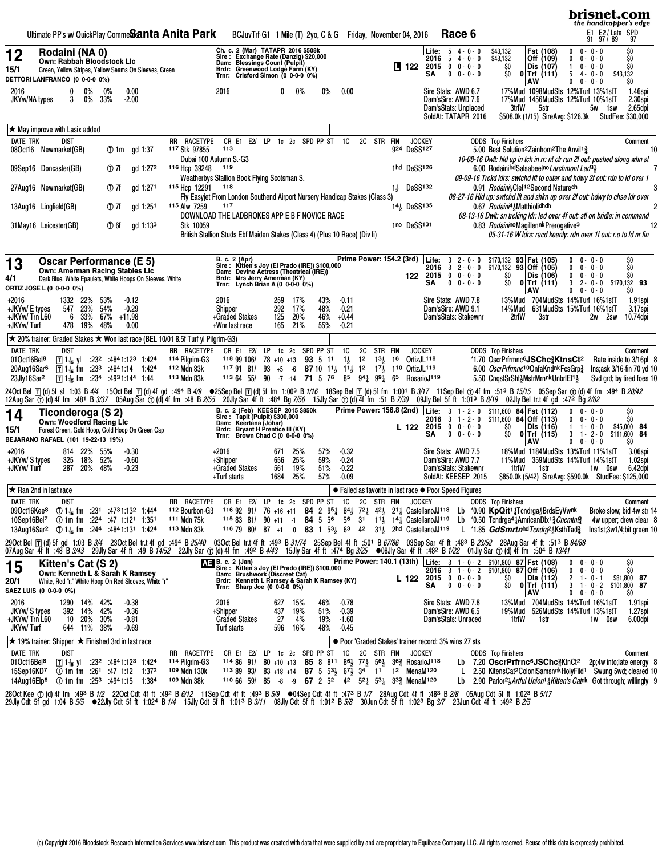|                                                                                                  |                                       |                                              |                                                                                                                                                                                        |                                        |                      |             | Ultimate PP's w/ QuickPlay Comme <b>Santa Anita Park</b>                                                                                |                                                                                                                                                                                      | BCJuvTrf-G1 1 Mile (T) 2yo, C & G Friday, November 04, 2016                                                                                                                                                                                                                                                                                                                                                                                                                                                            |                           |                |                          |                          |                                          |    |                     |                    |                                         |                                                                                          | Race 6                                               |                                                       |                                                                                                                                                                                                                                                                                                                                                                                                                                                                                                                                                                          |                                           | 퇴<br>91                                                                 | E2 / Late SPD<br>97 / 89 97                                                                  |    |
|--------------------------------------------------------------------------------------------------|---------------------------------------|----------------------------------------------|----------------------------------------------------------------------------------------------------------------------------------------------------------------------------------------|----------------------------------------|----------------------|-------------|-----------------------------------------------------------------------------------------------------------------------------------------|--------------------------------------------------------------------------------------------------------------------------------------------------------------------------------------|------------------------------------------------------------------------------------------------------------------------------------------------------------------------------------------------------------------------------------------------------------------------------------------------------------------------------------------------------------------------------------------------------------------------------------------------------------------------------------------------------------------------|---------------------------|----------------|--------------------------|--------------------------|------------------------------------------|----|---------------------|--------------------|-----------------------------------------|------------------------------------------------------------------------------------------|------------------------------------------------------|-------------------------------------------------------|--------------------------------------------------------------------------------------------------------------------------------------------------------------------------------------------------------------------------------------------------------------------------------------------------------------------------------------------------------------------------------------------------------------------------------------------------------------------------------------------------------------------------------------------------------------------------|-------------------------------------------|-------------------------------------------------------------------------|----------------------------------------------------------------------------------------------|----|
| 12<br>15/1<br><b>DETTORI LANFRANCO (0 0-0-0 0%)</b>                                              | Rodaini (NA 0)                        |                                              | Own: Rabbah Bloodstock Lic<br>Green, Yellow Stripes, Yellow Seams On Sleeves, Green                                                                                                    |                                        |                      |             |                                                                                                                                         | Sire: Exchange Rate (Danzig) \$20,000<br>Dam: Blessings Count (Pulpit)<br>Brdr: Greenwood Lodge Farm (KY)<br>Trnr: Crisford Simon (0 0-0-0 0%)                                       | Ch. c. 2 (Mar) TATAPR 2016 \$508k                                                                                                                                                                                                                                                                                                                                                                                                                                                                                      |                           |                |                          |                          |                                          |    |                     | $\blacksquare$ 122 |                                         | <b>Life:</b> $5 \, 4 \cdot 0 \cdot 0$<br>2016<br>2015<br>SΑ                              | $54 - 0 - 0$<br>$0 \t 0 - 0 - 0$<br>$0 \t 0 - 0 - 0$ | \$43,132<br>\$43,132<br>\$O<br>ŞO.                    | Fst (108)<br>Off (109)<br>Dis (107)<br>$0$   Trf (111)<br>AW                                                                                                                                                                                                                                                                                                                                                                                                                                                                                                             | 0<br>0<br>1.<br>0 -<br>0                  | $0 - 0 - 0$<br>$0 - 0 - 0$<br>$0 - 0 - 0$<br>$54 - 0 - 0$<br>$0 - 0$    | \$O<br>\$O<br>Ś0<br>\$43,132<br>\$O                                                          |    |
| 2016<br>JKYw/NA types                                                                            | 0<br>3                                | $0\%$<br>0%                                  | $0\%$<br>33%                                                                                                                                                                           | 0.00<br>-2.00                          |                      |             |                                                                                                                                         | 2016                                                                                                                                                                                 |                                                                                                                                                                                                                                                                                                                                                                                                                                                                                                                        |                           | 0              | $0\%$                    | $0\%$                    | 0.00                                     |    |                     |                    |                                         | Sire Stats: AWD 6.7<br>Dam'sSire: AWD 7.6<br>Dam'sStats: Unplaced<br>SoldAt: TATAPR 2016 |                                                      | 3trfW                                                 | 17%Mud 1098MudSts 12%Turf 13%1stT<br>17%Mud 1456MudSts 12%Turf 10%1stT<br>5str<br>\$508.0k (1/15) SireAvg: \$126.3k                                                                                                                                                                                                                                                                                                                                                                                                                                                      |                                           | 5w 1sw                                                                  | 1.46spi<br>2.30spi<br>2.65dpi<br><b>StudFee: \$30,000</b>                                    |    |
| $\star$ May improve with Lasix added                                                             |                                       |                                              |                                                                                                                                                                                        |                                        |                      |             |                                                                                                                                         |                                                                                                                                                                                      |                                                                                                                                                                                                                                                                                                                                                                                                                                                                                                                        |                           |                |                          |                          |                                          |    |                     |                    |                                         |                                                                                          |                                                      |                                                       |                                                                                                                                                                                                                                                                                                                                                                                                                                                                                                                                                                          |                                           |                                                                         |                                                                                              |    |
| <b>DATE TRK</b>                                                                                  | dist<br>08Oct16 Newmarket(GB)         |                                              |                                                                                                                                                                                        | $\circled{1}$ 1m gd 1:37               |                      |             | RR RACETYPE<br>117 Stk 97855<br>Dubai 100 Autumn S.-G3                                                                                  | 113                                                                                                                                                                                  | CR E1 E2/ LP                                                                                                                                                                                                                                                                                                                                                                                                                                                                                                           |                           |                |                          | 1c 2c SPD PP ST          | 1C                                       |    | 2C STR FIN          |                    | <b>JOCKEY</b><br>924 DeSS127            |                                                                                          |                                                      | <b>ODDS</b> Top Finishers                             | 5.00 Best Solution <sup>2</sup> Zainhom <sup>2</sup> The Anvil <sup>13</sup><br>10-08-16 Dwlt: hid up in tch in rr: nt cir run 2f out: pushed along whn st                                                                                                                                                                                                                                                                                                                                                                                                               |                                           |                                                                         | Comment                                                                                      | 10 |
|                                                                                                  | 09Sep16 Doncaster(GB)                 |                                              | ① 7f                                                                                                                                                                                   |                                        | gd 1:27 <sup>2</sup> |             | 116 Hcp 39248<br>Weatherbys Stallion Book Flying Scotsman S.                                                                            | 119                                                                                                                                                                                  |                                                                                                                                                                                                                                                                                                                                                                                                                                                                                                                        |                           |                |                          |                          |                                          |    |                     |                    | 1hd DeSS126                             |                                                                                          |                                                      |                                                       | 6.00 Rodainind Salsabeelno Larchmont Lad <sup>3</sup><br>09-09-16 Trckd ldrs: swtchd lft to outer and hdwy 2f out: rdn to ld over 1                                                                                                                                                                                                                                                                                                                                                                                                                                      |                                           |                                                                         |                                                                                              |    |
|                                                                                                  | 27Aug16 Newmarket(GB)                 |                                              | ① 7f                                                                                                                                                                                   |                                        | gd 1:271             |             | 115 Hcp 12291<br>Fly Easyjet From London Southend Airport Nursery Handicap Stakes (Class 3)                                             | 118                                                                                                                                                                                  |                                                                                                                                                                                                                                                                                                                                                                                                                                                                                                                        |                           |                |                          |                          |                                          |    |                     |                    | 1} DeSS132                              |                                                                                          |                                                      |                                                       | 0.91 Rodain&Clef12Second Naturedh<br>08-27-16 Hld up: swtchd lft and shkn up over 2f out: hdwy to chse ldr over                                                                                                                                                                                                                                                                                                                                                                                                                                                          |                                           |                                                                         |                                                                                              |    |
|                                                                                                  | 13Aug16 Lingfield(GB)                 |                                              | ① 7f                                                                                                                                                                                   |                                        | gd 1:251             |             | 115 Alw 7259                                                                                                                            | 117                                                                                                                                                                                  |                                                                                                                                                                                                                                                                                                                                                                                                                                                                                                                        |                           |                |                          |                          |                                          |    |                     |                    | 14} DeSS135                             |                                                                                          |                                                      | 0.67 Rodaini <sup>41</sup> <sub>3</sub> Matthiolidhdh |                                                                                                                                                                                                                                                                                                                                                                                                                                                                                                                                                                          |                                           |                                                                         |                                                                                              |    |
| 31May16 Leicester(GB)                                                                            |                                       |                                              | $\times$ 6f                                                                                                                                                                            |                                        | gd 1:13 <sup>3</sup> |             | DOWNLOAD THE LADBROKES APP E B F NOVICE RACE<br>Stk 10059<br>British Stallion Studs Ebf Maiden Stakes (Class 4) (Plus 10 Race) (Div li) |                                                                                                                                                                                      |                                                                                                                                                                                                                                                                                                                                                                                                                                                                                                                        |                           |                |                          |                          |                                          |    |                     |                    | 1no DeSS131                             |                                                                                          |                                                      |                                                       | 08-13-16 Dwlt: sn trcking ldr: led over 4f out: stl on bridle: in command<br>0.83 RodaininoMagillennk Prerogative <sup>3</sup><br>05-31-16 W ldrs: racd keenly: rdn over 1f out: r.o to ld nr fin                                                                                                                                                                                                                                                                                                                                                                        |                                           |                                                                         |                                                                                              |    |
|                                                                                                  |                                       |                                              | <b>Oscar Performance (E 5)</b>                                                                                                                                                         |                                        |                      |             |                                                                                                                                         | <b>B. c. 2 (Apr)</b>                                                                                                                                                                 |                                                                                                                                                                                                                                                                                                                                                                                                                                                                                                                        |                           |                |                          |                          |                                          |    |                     |                    |                                         | Prime Power: 154.2 (3rd) Life: 3 2-0-0                                                   |                                                      | <u> \$170,132 93</u> Fst (105)                        |                                                                                                                                                                                                                                                                                                                                                                                                                                                                                                                                                                          |                                           | $0 - 0 - 0$                                                             | $\frac{50}{50}$                                                                              |    |
| 13<br>4/1<br>ORTIZ JOSE L (0 0-0-0 0%)                                                           |                                       |                                              | <b>Own: Amerman Racing Stables Lic</b><br>Dark Blue, White Epaulets, White Hoops On Sleeves, White                                                                                     |                                        |                      |             |                                                                                                                                         | Sire: Kitten's Joy (El Prado (IRE)) \$100,000<br>Dam: Devine Actress (Theatrical (IRE))<br>Brdr: Mrs Jerry Amerman (KY)                                                              | Trnr: Lynch Brian A (0 0-0-0 0%)                                                                                                                                                                                                                                                                                                                                                                                                                                                                                       |                           |                |                          |                          |                                          |    |                     |                    | 122                                     | 2016<br>$2015$ 0 0 - 0 - 0<br>SΑ                                                         | $3 \t2 - 0 - 0$<br>$0 0 - 0 - 0$                     | ŞO.<br>\$O                                            | $$170,132$ 93 Off (105)<br>Dis (106)<br>$0$ Trf (111)<br>AW                                                                                                                                                                                                                                                                                                                                                                                                                                                                                                              | 0<br>$^{\circ}$<br>3<br>0 -<br>$^{\circ}$ | $0 - 0 - 0$<br>$0 - 0 - 0$<br>$2 - 0 - 0$<br>$0 - 0$                    | SO.<br>\$170,132 93<br>SO.                                                                   |    |
| +2016<br>+JKYw/ E types<br>+JKYw/ Trn L60<br>+JKYw/Turf                                          | 1332 22%<br>547<br>6                  | 23%<br>33%<br>478 19%                        | 53%<br>54%<br>67%<br>48%                                                                                                                                                               | $-0.12$<br>$-0.29$<br>+11.98<br>0.00   |                      |             |                                                                                                                                         | 2016<br>Shipper<br>+Graded Stakes<br>+Wnr last race                                                                                                                                  |                                                                                                                                                                                                                                                                                                                                                                                                                                                                                                                        | 259<br>292<br>125         | 17%<br>165 21% | 17%<br>20%               | 43%<br>48%<br>46%<br>55% | $-0.11$<br>$-0.21$<br>$+0.44$<br>$-0.21$ |    |                     |                    |                                         | Sire Stats: AWD 7.8<br>Dam'sSire: AWD 9.1<br>Dam'sStats: Stakewnr                        |                                                      | 14%Mud<br>2trfW                                       | 13%Mud 704MudSts 14%Turf 16%1stT<br>3str                                                                                                                                                                                                                                                                                                                                                                                                                                                                                                                                 |                                           | 631 MudSts 15% Turf 16% 1st T<br>2w 2sw                                 | 1.91spi<br>3.17spi<br>10.74dpi                                                               |    |
|                                                                                                  |                                       |                                              |                                                                                                                                                                                        |                                        |                      |             | <b>★ 20% trainer: Graded Stakes ★ Won last race (BEL 10/01 8.5f Turf yl Pilgrim-G3)</b>                                                 |                                                                                                                                                                                      |                                                                                                                                                                                                                                                                                                                                                                                                                                                                                                                        |                           |                |                          |                          |                                          |    |                     |                    |                                         |                                                                                          |                                                      |                                                       |                                                                                                                                                                                                                                                                                                                                                                                                                                                                                                                                                                          |                                           |                                                                         |                                                                                              |    |
| <b>DATE TRK</b><br>01Oct16Bel <sup>8</sup><br>20Aug16Sar <sup>6</sup><br>23Jly16Sar <sup>2</sup> | dist<br><b>T</b> 1—1 <sub>16</sub> yi |                                              | $: 23^2$ $: 48^4 1: 12^3$ 1:424<br>$\boxed{1}$ 1 $\frac{1}{16}$ fm :23 <sup>3</sup> :48 <sup>4</sup> 1:14 1:42 <sup>4</sup><br>$\boxed{1}$ 1 $\frac{1}{16}$ fm :234 :4931:144 1:44     |                                        |                      |             | RR RACETYPE<br><sup>114</sup> Pilgrim-G3<br>112 Mdn 83k<br>113 Mdn 83k                                                                  |                                                                                                                                                                                      | CR E1 E2/ LP<br>118 99 106/<br>117 91 81/ 93 +5 -6 87 10 1 <sup>1</sup> / <sub>2</sub> 1 <sup>1</sup> / <sub>2</sub> 1 <sup>2</sup> 1 <sup>7</sup> / <sub>2</sub> 1 <sup>10</sup> OrtizJL <sup>119</sup><br>113 64 55/ 90 -7 -14 71 5 76 85 941 991 65 RosarioJ119                                                                                                                                                                                                                                                     | 78 +10 +13 93 5 11        |                |                          | 1c 2c SPD PP ST          | 1C<br>$1\frac{1}{2}$ 12                  | 2C | STR FIN<br>$1^{31}$ | 16                 | <b>JOCKEY</b><br>OrtizJL <sup>118</sup> |                                                                                          |                                                      | <b>ODDS</b> Top Finishers                             | *1.70 OscrPrfrmnc <sup>6</sup> JSChc <sub>3</sub> KtnsCt <sup>2</sup><br>6.00 OscrPrfrmnc <sup>10</sup> OnfaKndnkFcsGrp3<br>5.50 CngstSrSht3MstrMrnnkUnbrlEl13                                                                                                                                                                                                                                                                                                                                                                                                           |                                           |                                                                         | Comment<br>Rate inside to 3/16pl 8<br>Ins;ask 3/16-fin 70 yd 10<br>Svd grd; by tired foes 10 |    |
|                                                                                                  |                                       |                                              |                                                                                                                                                                                        |                                        |                      |             |                                                                                                                                         |                                                                                                                                                                                      |                                                                                                                                                                                                                                                                                                                                                                                                                                                                                                                        |                           |                |                          |                          |                                          |    |                     |                    |                                         |                                                                                          |                                                      |                                                       | 2404 2494 1494 150ctBel ⊡ (d) 4f gd :494 B4/9 ●25SepBel ⊡ (d) 5f fm 1:003 B1/16 18SepBel ⊡ (d) 5f fm 1:001 B3/17 11SepBel ① 4f fm :513 B15/15 05SepSar ① (d) 4f fm :494 B20/42<br>12AugSar ① (d) 4f fm :481 B3/37 05AugSar ① (d) 4f fm :48 B2/55 20JlySar 4f ft :484 Bg7/56 15JlySar ① (d) 4f fm :51 B7/30 09JlyBel 5fft 1:013 B8/19 02JlyBel trt 4f gd :472 Bg2/62                                                                                                                                                                                                      |                                           |                                                                         |                                                                                              |    |
| 14<br>15/1<br>BEJARANO RAFAEL (101 19-22-13 19%)                                                 |                                       |                                              | Ticonderoga (S 2)<br>Own: Woodford Racing Llc<br>Forest Green, Gold Hoop, Gold Hoop On Green Cap                                                                                       |                                        |                      |             |                                                                                                                                         |                                                                                                                                                                                      | B. c. 2 (Feb) KEESEP 2015 \$850k<br>Sire: Tapit (Pulpit) \$300,000<br>Dam: Keertana (Jóhar)<br>Brdr: Bryant H Prentice III (KY)<br>Trnr: Brown Chad C (0 0-0-0 0%)                                                                                                                                                                                                                                                                                                                                                     |                           |                |                          |                          |                                          |    |                     |                    | L 122                                   | 2016<br>$2015$ 0 0 - 0 - 0<br>SΑ                                                         | $0 \t 0 - 0 - 0$                                     | SO.<br>SO.                                            | Prime Power: 156.8 (2nd) Life: 3 1-2-0 \$111,600 84 Fst (112)<br>3 1 - 2 - 0 \$111,600 <b>84 Off (113)</b><br>Dis (116)<br>$0$ Trf (115)<br>AW                                                                                                                                                                                                                                                                                                                                                                                                                           | 0<br>0<br>3<br>0                          | $0 - 0 - 0$<br>$0 - 0 - 0$<br>$1 - 0 - 0$<br>$1 - 2 - 0$<br>$0 - 0 - 0$ | \$O<br>SO.<br>\$45,000 84<br>\$111,600 84<br>SO.                                             |    |
| +2016<br>+JKYw/ S types<br>+JKYw/Turf                                                            | 325                                   | 814 22%<br>18%<br>287 20%                    | 55%<br>52%<br>48%                                                                                                                                                                      | $-0.30$<br>$-0.60$<br>$-0.23$          |                      |             |                                                                                                                                         | +2016<br>+Shipper<br>+Graded Stakes<br>+Turf starts                                                                                                                                  |                                                                                                                                                                                                                                                                                                                                                                                                                                                                                                                        | 671<br>656<br>561<br>1684 |                | 25%<br>25%<br>19%<br>25% | 57%<br>59%<br>51%<br>57% | $-0.32$<br>$-0.24$<br>$-0.22$<br>$-0.09$ |    |                     |                    |                                         | Sire Stats: AWD 7.5<br>Dam'sSire: AWD 7.7<br>Dam'sStats: Stakewnr<br>SoldAt: KEESEP 2015 |                                                      | 1trfW                                                 | 18%Mud 1184MudSts 13%Turf 11%1stT<br>11%Mud 359MudSts 14%Turf 14%1stT<br>1str<br>\$850.0k (5/42) SireAvg: \$590.0k StudFee: \$125,000                                                                                                                                                                                                                                                                                                                                                                                                                                    |                                           | 1w Osw                                                                  | 3.06spi<br>1.02spi<br>6.42dpi                                                                |    |
| $\star$ Ran 2nd in last race                                                                     |                                       |                                              |                                                                                                                                                                                        |                                        |                      |             |                                                                                                                                         |                                                                                                                                                                                      |                                                                                                                                                                                                                                                                                                                                                                                                                                                                                                                        |                           |                |                          |                          |                                          |    |                     |                    |                                         | ● Failed as favorite in last race ● Poor Speed Figures                                   |                                                      |                                                       |                                                                                                                                                                                                                                                                                                                                                                                                                                                                                                                                                                          |                                           |                                                                         |                                                                                              |    |
| DATE TRK<br>13Aug16Sar <sup>2</sup> ① 14 fm :244 :4841:131 1:424                                 | dist                                  |                                              | 10Sep16Bel <sup>7</sup> ① 1m fm :224 :47 1:121 1:351                                                                                                                                   |                                        |                      | 113 Mdn 83k | RR RACETYPE<br>09Oct16Kee8 ① 14 fm :231 :4731:132 1:444 112 Bourbon-G3<br>111 Mdn 75k                                                   |                                                                                                                                                                                      | CR E1 E2/ LP 1c 2c SPD PP ST 1C 2C STR FIN JOCKEY                                                                                                                                                                                                                                                                                                                                                                                                                                                                      |                           |                |                          |                          |                                          |    |                     |                    |                                         |                                                                                          |                                                      | <b>ODDS</b> Top Finishers                             | 116 92 91/ 76 +16 +11 84 2 951 84 721 42 211 CastellanoJJ <sup>118</sup> Lb *0.90 KpQit11Tcndrga1brdsEyVwnk Broke slow; bid 4w str 14<br><sup>115</sup> 83 81/ 90 +11 -1 <b>84</b> 5 5 <sup>6</sup> 5 <sup>6</sup> 3 <sup>1</sup> 1 <sup>1</sup> <sup>1</sup> / <sub>4</sub> CastellanoJJ <sup>119</sup> Lb *0.50 Tcndrga <sup>4</sup> $\frac{1}{4}$ AmricanDlx <sup>1</sup> $\frac{3}{2}$ <i>Cncmtn</i> $\frac{6}{2}$<br>116 79 80/ 87 +1 0 83 1 53 63 42 31 2hd CastellanoJJ <sup>119</sup> L *1.85 GdSmrtnhd Tcndra <sup>o</sup> 3KsthTad 3 Ins1st;3w1/4;bit green 10 |                                           |                                                                         | Comment<br>4w upper; drew clear 8                                                            |    |
|                                                                                                  |                                       |                                              |                                                                                                                                                                                        |                                        |                      |             |                                                                                                                                         |                                                                                                                                                                                      |                                                                                                                                                                                                                                                                                                                                                                                                                                                                                                                        |                           |                |                          |                          |                                          |    |                     |                    |                                         |                                                                                          |                                                      |                                                       | 290ctBel [T](d)5fgd 1:03 B <i>3/4</i> 23OctBeltr.t4fgd :494 B <i>25/40</i> 03OctBeltr.t4fft :49 <sup>3</sup> B <i>31/74</i> 25SepBel4fft :501 B <i>67/86</i> 03SepSar 4fft :483 B <i>23/52</i> 28AugSar 4fft :513 B <i>84/88</i><br>07Aug Sar 4f hf :48 B 3/43  29Jly Sar 4f ft :49 B 14/52  22Jly Sar ① (d) 4f fm :49 B 4/43  15Jly Sar 4f ft :474 Bg 3/25  ●08Jly Sar 4f ft :482 B 1/22  01Jly Sar ① (d) 4f fm :504 B 13/41                                                                                                                                            |                                           |                                                                         |                                                                                              |    |
| 15<br>20/1                                                                                       | Kitten's Cat (S 2)                    |                                              | Own: Kenneth L & Sarah K Ramsey<br>White, Red "r," White Hoop On Red Sleeves, White "r"                                                                                                |                                        |                      |             |                                                                                                                                         | THE B. c. 2 (Jan)<br>Sire : Kitten's Joy (El Prado (IRE)) \$100,000<br>Dam: Brushwork (Discreet Cat)<br>Brdr: Kenneth L Ramsey & Sarah K Ramsey (KY)<br>Trnr: Sharp Joe (0 0-0-0 0%) |                                                                                                                                                                                                                                                                                                                                                                                                                                                                                                                        |                           |                |                          |                          |                                          |    |                     |                    |                                         | L 122 2015 $0$ 0 $\cdot$ 0 $\overline{0}$<br>SA                                          | $0 \t 0 - 0 - 0$                                     | SO.<br>\$O                                            | Prime Power: 140.1 (13th) Life: 3 1 - 0 - 2 \$101,800 87 Fst (108)<br>2016 3 1 - 0 - 2 \$101,800 87 Off (106)<br>Dis (112)<br>$0$   Trf (111)                                                                                                                                                                                                                                                                                                                                                                                                                            | 0<br>2<br>$1 -$                           | $0 - 0 - 0$<br>$0 - 0 - 0$<br>$0 - 1$<br>$3 \t1 - 0 - 2$                | \$0<br>SO.<br>\$81,800 87<br>\$101,800 87                                                    |    |
| SAEZ LUIS (0 0-0-0 0%)<br>2016<br>JKYw/ S types<br>+JKYw/ Trn L60<br>JKYw/Turf                   |                                       | 1290 14% 42%<br>392 14%<br>10 20%<br>644 11% | 42%<br>30%<br>38%                                                                                                                                                                      | $-0.38$<br>$-0.36$<br>-0.81<br>$-0.69$ |                      |             |                                                                                                                                         | 2016<br>+Shipper<br><b>Graded Stakes</b><br>Turf starts                                                                                                                              |                                                                                                                                                                                                                                                                                                                                                                                                                                                                                                                        | 627<br>437<br>596         | 27<br>16%      | 15%<br>19%<br>4%         | 46%<br>51%<br>19%<br>48% | $-0.78$<br>$-0.39$<br>-1.60<br>$-0.45$   |    |                     |                    |                                         | Sire Stats: AWD 7.8<br>Dam'sSire: AWD 6.5<br>Dam'sStats: Unraced                         |                                                      | 19%Mud<br>1trfW                                       | <b>AW</b><br>13%Mud 704MudSts 14%Turf 16%1stT<br>1str                                                                                                                                                                                                                                                                                                                                                                                                                                                                                                                    | 0                                         | $0 - 0 - 0$<br>526MudSts 14%Turf 13%1stT<br>1w Osw                      | SO<br>1.91spi<br>1.27spi<br>6.00dpi                                                          |    |
| $\star$ 19% trainer: Shipper $\star$ Finished 3rd in last race                                   |                                       |                                              |                                                                                                                                                                                        |                                        |                      |             |                                                                                                                                         |                                                                                                                                                                                      |                                                                                                                                                                                                                                                                                                                                                                                                                                                                                                                        |                           |                |                          |                          |                                          |    |                     |                    |                                         | ● Poor 'Graded Stakes' trainer record: 3% wins 27 sts                                    |                                                      |                                                       |                                                                                                                                                                                                                                                                                                                                                                                                                                                                                                                                                                          |                                           |                                                                         |                                                                                              |    |
| DATE TRK<br>01Oct16Bel <sup>8</sup><br>15Sep16KD7<br>14Aug16Elp <sup>6</sup>                     | dist                                  |                                              | $\boxed{1}$ 1 $\frac{1}{16}$ y $\boxed{1}$ :23 <sup>2</sup> :48 <sup>4</sup> 1:12 <sup>3</sup> 1:42 <sup>4</sup><br>① 1m fm $:261 :17 1:12 1:372$<br>① 1m fm $:25^3$ $:49^41:15$ 1:384 |                                        |                      |             | RR RACETYPE<br><sup>114</sup> Pilgrim-G3<br>109 Mdn 130k<br>109 Mdn 38k                                                                 |                                                                                                                                                                                      | CR E1 E2/ LP 1c 2c SPD PP ST<br>114 86 91/ 80 +10 +13 85 8 8 <sup>11</sup> 86 <sup>1</sup> / <sub>2</sub> 7 <sup>2</sup> / <sub>2</sub> 56 <sup>1</sup> / <sub>2</sub> 36 <sup>2</sup> / <sub>4</sub> RosarioJ <sup>118</sup><br>113 89 93/ 83 +18 +14 87 5 $5\frac{31}{2}$ 6 <sup>7</sup> / <sub>2</sub> 3 <sup>4</sup> 1 <sup>1</sup> 1 <sup>2</sup> MenaM <sup>120</sup><br>110 66 59/ 85 -8 -9 67 2 5 <sup>2</sup> 4 <sup>2</sup> 5 <sup>2</sup> 5 <sup>3</sup> 5 <sup>3</sup> 3 <sup>3</sup> MenaM <sup>120</sup> |                           |                |                          |                          | 1C                                       |    | 2C STR FIN          |                    | <b>JOCKEY</b>                           |                                                                                          | L                                                    | <b>ODDS</b> Top Finishers                             | Lb 7.20 OscrPrfrnc <sup>6</sup> JSChc <sub>a</sub> ktnCt <sup>2</sup><br>2.50 KitensCat <sup>2</sup> ColonISamsnnkHolyFild <sup>1</sup> Swung 5wd; cleared 10<br>Lb 2.90 Parlor <sup>21</sup> / <sub>2</sub> Artful Union <sup>1</sup> 1 Kitten's Cath Got through; willingly 9                                                                                                                                                                                                                                                                                          |                                           | $2p;4w$ into; late energy $8$                                           | Comment                                                                                      |    |

**brisnet.com** 

28OctKee ①(d)4ffm :49<sup>3</sup> B*1/2* 22OctCdt4fft :49º B*6/12* 11SepCdt4fft :49º B*5/9* ●04SepCdt4fft :47º B*1/7* 28AugCdt4fft :48º B*2/8* 05AugCdt5fft 1:02º B*5/17*<br>29JlyCdt5fgd 1:04 B*5/5* ●22JlyCdt5fft 1:024 B*1/4* 15JlyCdt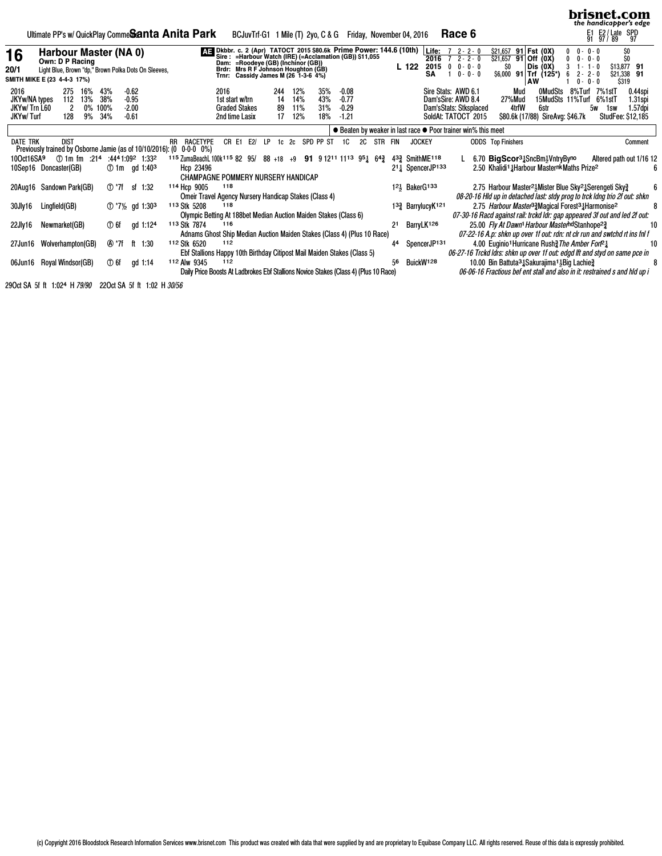|                                                    |                                          |                        |                           |                                                      |                                          | Ultimate PP's w/ QuickPlay Comme <b>Santa Anita Park</b>             |              |                                                                                                                                                                                    |                |       |                                                                |       |                       |                          |                          |                                          |           |         | BCJuvTrf-G1 1 Mile (T) 2yo, C & G Friday, November 04, 2016                                                                                                            |               |                             | Race 6                                    |                                               |     |                                               |    |                                                                                                                                                          |   |                                                                 | E1 E2/Late SPD<br>91 97/89 97 |     | brisnet.com<br>the handicapper's edge                                      |    |
|----------------------------------------------------|------------------------------------------|------------------------|---------------------------|------------------------------------------------------|------------------------------------------|----------------------------------------------------------------------|--------------|------------------------------------------------------------------------------------------------------------------------------------------------------------------------------------|----------------|-------|----------------------------------------------------------------|-------|-----------------------|--------------------------|--------------------------|------------------------------------------|-----------|---------|------------------------------------------------------------------------------------------------------------------------------------------------------------------------|---------------|-----------------------------|-------------------------------------------|-----------------------------------------------|-----|-----------------------------------------------|----|----------------------------------------------------------------------------------------------------------------------------------------------------------|---|-----------------------------------------------------------------|-------------------------------|-----|----------------------------------------------------------------------------|----|
| 16<br>20/1<br>SMITH MIKE E (23 4-4-3 17%)          | Harbour Master (NA 0)<br>Own: D P Racing |                        |                           |                                                      |                                          | Light Blue, Brown "dp," Brown Polka Dots On Sleeves,                 |              |                                                                                                                                                                                    | Brdr:<br>Trnr: |       | Mrs R F Johnson Houghton (GB)<br>Cassidy James M (26 1-3-6 4%) |       |                       |                          |                          |                                          |           |         | Sire: 2 (Apr) TATOCT 2015 \$80.6k Prime Power: 144.6 (10th)<br>Sire: = Harbour Watch (IRE) (=Acclamation (GB)) \$11,055<br>Dam: =Roodeye (GB) (Inchinor (GB))<br>L 122 |               | Life:<br>2016<br>2015<br>SA | $72 - - 2 - 0$<br>$0 \t 0 - 0 - 0$        | $2 - 2 - 0$<br>$0 - 0 - 0$                    | SO. | \$21,657 91 Fst (0X)<br>$$21,657$ 91 Off (0X) | AW | Dis (OX)<br>$$6,000$ 91 Trf (125*)                                                                                                                       | 0 | $0 - 0 - 0$<br>$0 - 0 - 0$<br>$1 - 1 - 0$<br>$2 - 2 - 0$<br>0 - | $0 - 0$                       |     | SO<br>\$13,877 91<br>\$21,338 91<br>\$319                                  |    |
| 2016<br>JKYw/NA types<br>JKYw/Trn L60<br>JKYw/Turf | 275<br>112<br>2<br>128                   | 16%<br>13%<br>0%<br>9% | 43%<br>38%<br>100%<br>34% |                                                      | $-0.62$<br>$-0.95$<br>$-2.00$<br>$-0.61$ |                                                                      |              |                                                                                                                                                                                    | 2016           |       | 1st start w/trn<br><b>Graded Stakes</b><br>2nd time Lasix      |       | 244<br>14<br>89<br>17 | 12%<br>14%<br>11%<br>12% | 35%<br>43%<br>31%<br>18% | $-0.08$<br>$-0.77$<br>$-0.29$<br>$-1.21$ |           |         |                                                                                                                                                                        |               |                             | Sire Stats: AWD 6.1<br>Dam'sSire: AWD 8.4 | Dam'sStats: Stksplaced<br>SoldAt: TATOCT 2015 |     | Mud<br>27%Mud<br>4trfW                        |    | 0MudSts<br>15MudSts 11%Turf<br>6str<br>\$80.6k (17/88) SireAvg: \$46.7k                                                                                  |   | 8%Turf                                                          | 7%1stT<br>6%1stT<br>5w        | 1sw | 0.44spi<br>$1.31$ spi<br>1.57dpi<br>StudFee: \$12,185                      |    |
|                                                    |                                          |                        |                           |                                                      |                                          |                                                                      |              |                                                                                                                                                                                    |                |       |                                                                |       |                       |                          |                          |                                          |           |         | ● Beaten by weaker in last race ● Poor trainer win% this meet                                                                                                          |               |                             |                                           |                                               |     |                                               |    |                                                                                                                                                          |   |                                                                 |                               |     |                                                                            |    |
| <b>DATE TRK</b>                                    | <b>DIST</b>                              |                        |                           |                                                      |                                          | Previously trained by Osborne Jamie (as of 10/10/2016): (0 0-0-0 0%) |              | RR RACETYPE                                                                                                                                                                        |                | CR E1 |                                                                | E2/IP | 1c                    | 2c                       | SPD PP ST                | 1C                                       | <b>2C</b> | STR FIN |                                                                                                                                                                        | <b>JOCKEY</b> |                             |                                           | <b>ODDS</b> Top Finishers                     |     |                                               |    |                                                                                                                                                          |   |                                                                 |                               |     | Comment                                                                    |    |
| 10Oct16SA9<br>10Sep16 Doncaster(GB)                | 1:332 1:332 1:334: 1:094 1:094 1:334     |                        |                           |                                                      |                                          | ① 1m gd 1:40 <sup>3</sup>                                            |              | 115 ZumaBeachL 100k <sup>115</sup> 82 95/ 88 +18 +9 <b>91</b> 912 <sup>11</sup> 11 <sup>13</sup> 9 <sup>5</sup> <sub>4</sub> 6 <sup>4</sup> <sub>4</sub> <sup>2</sup><br>Hcp 23496 |                |       |                                                                |       |                       |                          |                          |                                          |           |         | 4 <sup>33</sup> SmithME <sup>118</sup><br>2 <sup>1</sup> <sup>1</sup> SpencerJP <sup>133</sup>                                                                         |               |                             |                                           |                                               |     |                                               |    | 6.70 BigScor <sup>31</sup> <sub>4</sub> SncBm <sup>1</sup> <sub>3</sub> VntryByno<br>2.50 Khalidi <sup>1</sup> Harbour Masternk Maths Prize <sup>2</sup> |   |                                                                 |                               |     | Altered path out 1/16 12                                                   |    |
| 20Aug16 Sandown Park(GB)                           |                                          |                        |                           | (T) *7f                                              | sf 1:32                                  |                                                                      |              | <b>CHAMPAGNE POMMERY NURSERY HANDICAP</b><br>114 Hcp 9005<br>Omeir Travel Agency Nursery Handicap Stakes (Class 4)                                                                 |                | 118   |                                                                |       |                       |                          |                          |                                          |           |         | $12$ BakerG <sup>133</sup>                                                                                                                                             |               |                             |                                           |                                               |     |                                               |    | 2.75 Harbour Master <sup>21</sup> Mister Blue Sky <sup>21</sup> Serengeti Sky <sup>3</sup>                                                               |   |                                                                 |                               |     | 08-20-16 Hld up in detached last: stdy prog to trck ldng trio 2f out: shkn |    |
| 30Jly16                                            | Lingfield(GB)                            |                        |                           | $\textcircled{1}$ $\frac{7}{2}$ gd 1:30 <sup>3</sup> |                                          |                                                                      | 113 Stk 5208 | Olympic Betting At 188bet Median Auction Maiden Stakes (Class 6)                                                                                                                   |                | 118   |                                                                |       |                       |                          |                          |                                          |           |         | 1 <sup>33</sup> Barrylucy K <sup>121</sup>                                                                                                                             |               |                             |                                           |                                               |     |                                               |    | 2.75 Harbour Master <sup>33</sup> Magical Forest <sup>31</sup> Harmonise <sup>2</sup>                                                                    |   |                                                                 |                               |     | 07-30-16 Racd against rail: trckd ldr: gap appeared 3f out and led 2f out: |    |
| 22Jly16                                            | Newmarket(GB)                            |                        |                           | ① 6f                                                 |                                          | gd 1:124                                                             | 113 Stk 7874 | Adnams Ghost Ship Median Auction Maiden Stakes (Class 4) (Plus 10 Race)                                                                                                            |                | 116   |                                                                |       |                       |                          |                          |                                          |           |         | 21 BarryLK126                                                                                                                                                          |               |                             |                                           |                                               |     |                                               |    | 25.00 Fly At Dawn <sup>1</sup> Harbour MasterhdStanhope <sup>23</sup>                                                                                    |   |                                                                 |                               |     | 07-22-16 A.p: shkn up over 1f out: rdn: nt clr run and swtchd rt ins fnl f | 10 |
| 27Jun16 Wolverhampton(GB)                          |                                          |                        |                           | <b></b> ∆ *7f                                        | ft 1:30                                  |                                                                      | 112 Stk 6520 | Ebf Stallions Happy 10th Birthday Citipost Mail Maiden Stakes (Class 5)                                                                                                            |                | 112   |                                                                |       |                       |                          |                          |                                          |           | 44      |                                                                                                                                                                        |               | SpencerJP131                |                                           |                                               |     |                                               |    | 4.00 Euginio <sup>1</sup> Hurricane Rush <sup>3</sup> The Amber Fort <sup>21</sup>                                                                       |   |                                                                 |                               |     | 06-27-16 Trckd ldrs: shkn up over 1f out: edgd lft and styd on same pce in | 10 |
| 06Jun16 Royal Windsor(GB)                          |                                          |                        |                           | $\times$ 6f                                          |                                          | gd 1:14                                                              | 112 Alw 9345 | Daily Price Boosts At Ladbrokes Ebf Stallions Novice Stakes (Class 4) (Plus 10 Race)                                                                                               |                | 112   |                                                                |       |                       |                          |                          |                                          |           | 56      |                                                                                                                                                                        |               | BuickW <sup>128</sup>       |                                           |                                               |     |                                               |    | 10.00 Bin Battuta <sup>3</sup> 1 Sakurajima <sup>1</sup> 1 Big Lachie <sup>3</sup>                                                                       |   |                                                                 |                               |     | 06-06-16 Fractious bef ent stall and also in it: restrained s and hld up i |    |

29Oct SA 5f ft 1:024 H 79/90 22Oct SA 5f ft 1:02 H 30/56